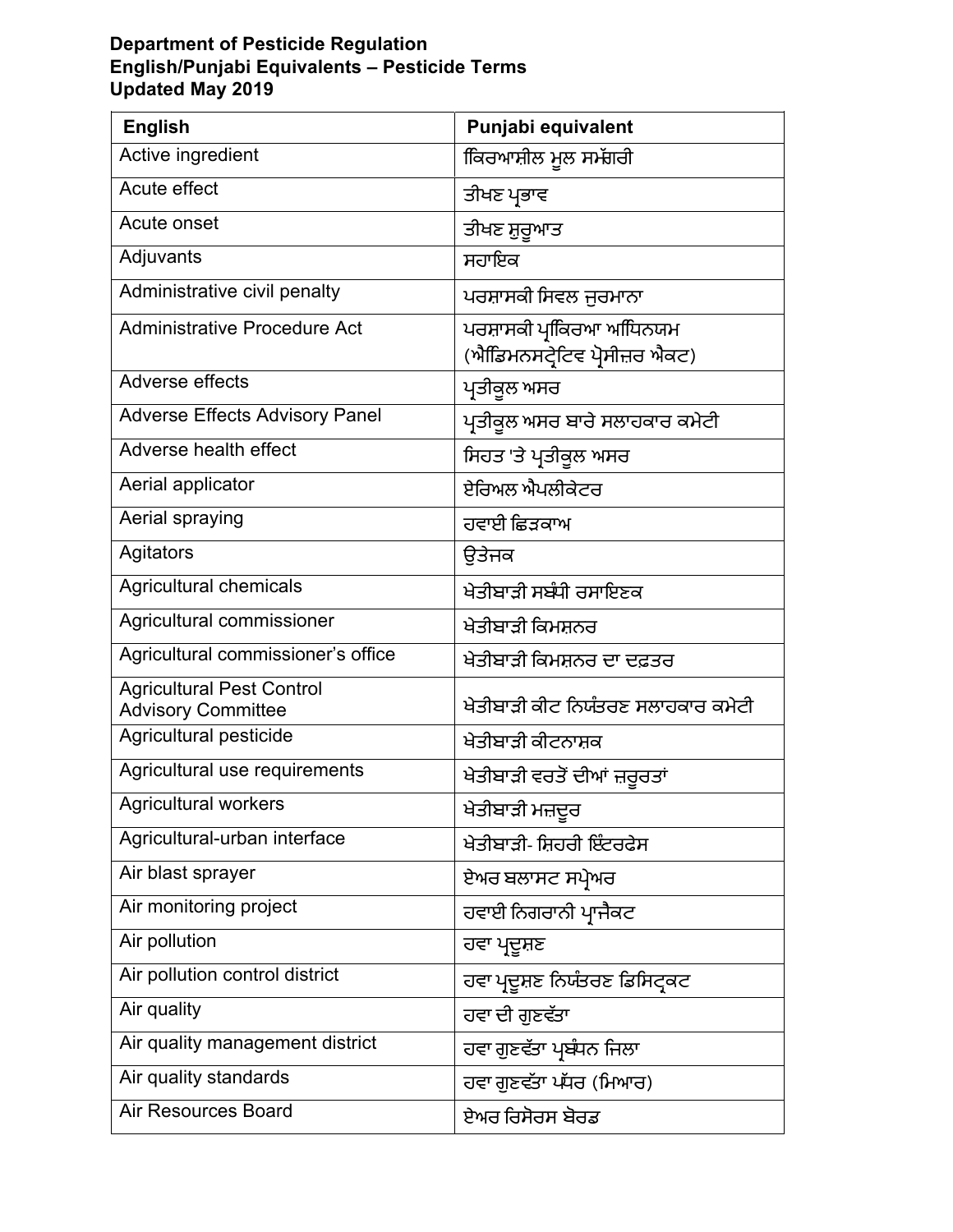## **Department of Pesticide Regulation English/Punjabi Equivalents – Pesticide Terms Updated May 2019**

| <b>English</b>                                         | Punjabi equivalent                                         |
|--------------------------------------------------------|------------------------------------------------------------|
| Active ingredient                                      | ਕਿਿਰਆਸ਼ੀਲ ਮੂਲ ਸਮੱਗਰੀ                                       |
| Acute effect                                           | ਤੀਖਣ ਪ੍ਰਭਾਵ                                                |
| Acute onset                                            | ਤੀਖਣ ਸ਼ੁਰੁਆਤ                                               |
| Adjuvants                                              | ਸਹਾਇਕ                                                      |
| Administrative civil penalty                           | ਪਰਸ਼ਾਸਕੀ ਸਿਵਲ ਜੁਰਮਾਨਾ                                      |
| <b>Administrative Procedure Act</b>                    | ਪਰਸ਼ਾਸਕੀ ਪ੍ਰਕਿਰਆ ਅਧਿਿਨਯਮ<br>(ਐਂਡਿਮਨਸਟ੍ਰੇਟਿਵ ਪ੍ਰੋਸੀਜ਼ਰ ਐਕਟ) |
| Adverse effects                                        | ਪ੍ਰਤੀਕੂਲ ਅਸਰ                                               |
| <b>Adverse Effects Advisory Panel</b>                  | ਪ੍ਰਤੀਕੁਲ ਅਸਰ ਬਾਰੇ ਸਲਾਹਕਾਰ ਕਮੇਟੀ                            |
| Adverse health effect                                  | ਸਿਹਤ 'ਤੇ ਪ੍ਰਤੀਕੁਲ ਅਸਰ                                      |
| Aerial applicator                                      | ਏਰਿਅਲ ਐਪਲੀਕੇਟਰ                                             |
| Aerial spraying                                        | ਹਵਾਈ ਛਿਤਕਾਅ                                                |
| Agitators                                              | ਉਤੇਜਕ                                                      |
| <b>Agricultural chemicals</b>                          | ਖੇਤੀਬਾੜੀ ਸਬੰਧੀ ਰਸਾਇਣਕ                                      |
| Agricultural commissioner                              | ਖੇਤੀਬਾੜੀ ਕਿਮਸ਼ਨਰ                                           |
| Agricultural commissioner's office                     | ਖੇਤੀਬਾੜੀ ਕਿਮਸ਼ਨਰ ਦਾ ਦਫ਼ਤਰ                                  |
| Agricultural Pest Control<br><b>Advisory Committee</b> | ਖੇਤੀਬਾੜੀ ਕੀਟ ਨਿਯੰਤਰਣ ਸਲਾਹਕਾਰ ਕਮੇਟੀ                         |
| Agricultural pesticide                                 | ਖੇਤੀਬਾੜੀ ਕੀਟਨਾਸ਼ਕ                                          |
| Agricultural use requirements                          | ਖੇਤੀਬਾੜੀ ਵਰਤੋਂ ਦੀਆਂ ਜ਼ਰੂਰਤਾਂ                               |
| <b>Agricultural workers</b>                            | ਖੇਤੀਬਾੜੀ ਮਜ਼ਦੂਰ                                            |
| Agricultural-urban interface                           | ਖੇਤੀਬਾੜੀ- ਸ਼ਿਹਰੀ ਇੰਟਰਫੇਸ                                   |
| Air blast sprayer                                      | ਏਅਰ ਬਲਾਸਟ ਸਪ੍ਰੇਅਰ                                          |
| Air monitoring project                                 | ਹਵਾਈ ਨਿਗਰਾਨੀ ਪ੍ਰਾਜੈਕਟ                                      |
| Air pollution                                          | ਹਵਾ ਪ੍ਰਦੂਸ਼ਣ                                               |
| Air pollution control district                         | ਹਵਾ ਪ੍ਰਦੂਸ਼ਣ ਨਿਯੰਤਰਣ ਡਿਸਿਟ੍ਰਕਟ                             |
| Air quality                                            | ਹਵਾ ਦੀ ਗੁਣਵੱਤਾ                                             |
| Air quality management district                        | ਹਵਾ ਗੁਣਵੱਤਾ ਪ੍ਰਬੰਧਨ ਜਿਲਾ                                   |
| Air quality standards                                  | ਹਵਾ ਗੁਣਵੱਤਾ ਪੱਧਰ (ਮਿਆਰ)                                    |
| <b>Air Resources Board</b>                             | ਏਅਰ ਰਿਸੋਰਸ ਬੋਰਡ                                            |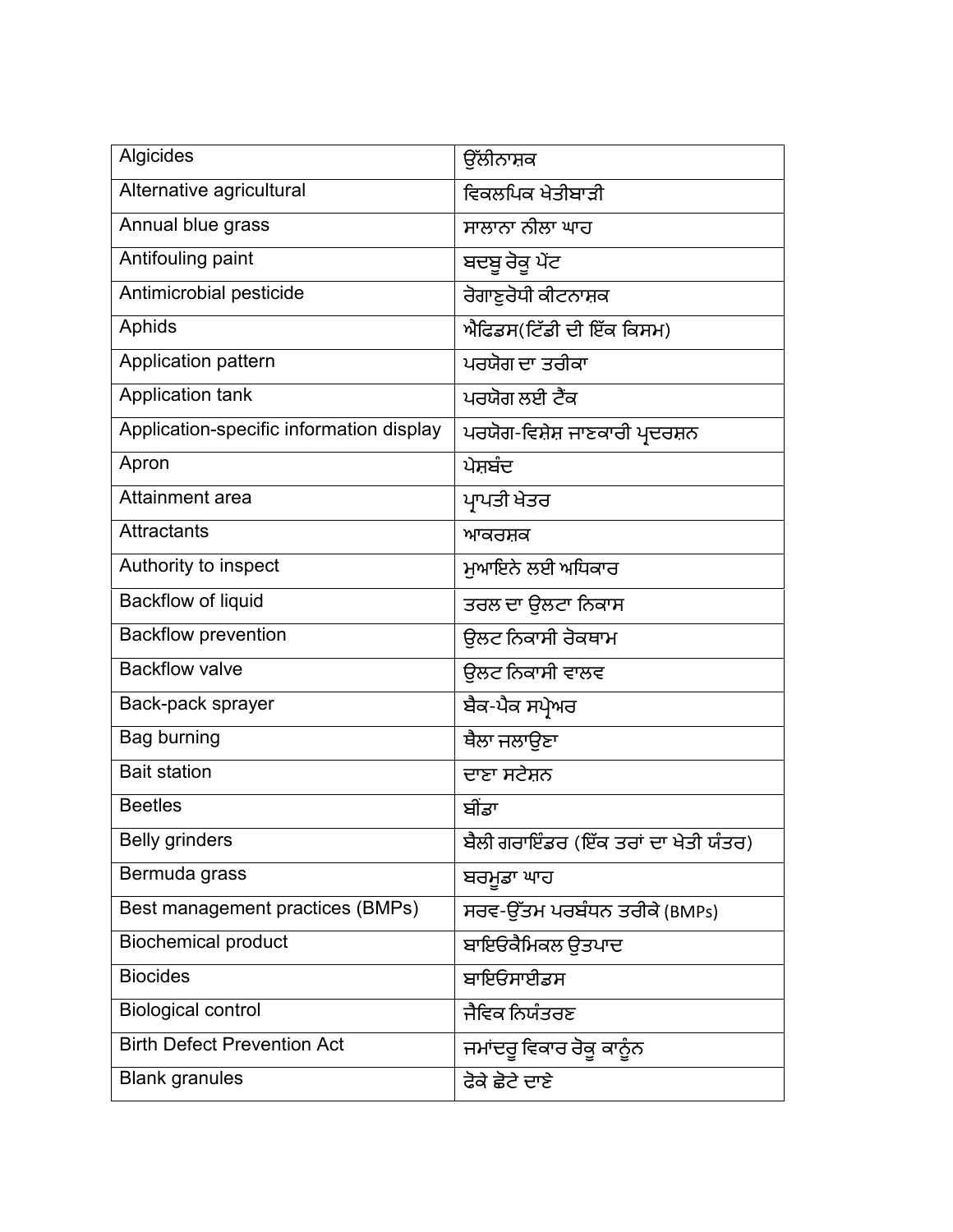| Algicides                                | ਉੱਲੀਨਾਸ਼ਕ                            |
|------------------------------------------|--------------------------------------|
| Alternative agricultural                 | ਵਿਕਲਪਿਕ ਖੇਤੀਬਾੜੀ                     |
| Annual blue grass                        | ਸਾਲਾਨਾ ਨੀਲਾ ਘਾਹ                      |
| Antifouling paint                        | ਬਦਬੁ ਰੋਕੁ ਪੇਂਟ                       |
| Antimicrobial pesticide                  | ਰੋਗਾਣੂਰੋਧੀ ਕੀਟਨਾਸ਼ਕ                  |
| Aphids                                   | ਐਫਿਡਸ(ਟਿੱਡੀ ਦੀ ਇੱਕ ਕਿਸਮ)             |
| Application pattern                      | ਪਰਯੋਗ ਦਾ ਤਰੀਕਾ                       |
| <b>Application tank</b>                  | ਪਰਯੋਗ ਲਈ ਟੈਂਕ                        |
| Application-specific information display | ਪਰਯੋਗ-ਵਿਸ਼ੇਸ਼ ਜਾਣਕਾਰੀ ਪ੍ਰਦਰਸ਼ਨ       |
| Apron                                    | ਪੇਸ਼ਬੰਦ                              |
| Attainment area                          | ਪ੍ਰਾਪਤੀ ਖੇਤਰ                         |
| <b>Attractants</b>                       | ਆਕਰਸ਼ਕ                               |
| Authority to inspect                     | ਮੁਆਇਨੇ ਲਈ ਅਧਿਕਾਰ                     |
| <b>Backflow of liquid</b>                | ਤਰਲ ਦਾ ਉਲਟਾ ਨਿਕਾਸ                    |
| <b>Backflow prevention</b>               | ਉਲਟ ਨਿਕਾਸੀ ਰੋਕਥਾਮ                    |
| <b>Backflow valve</b>                    | ਉਲਟ ਨਿਕਾਸੀ ਵਾਲਵ                      |
| Back-pack sprayer                        | ਬੈਕ-ਪੈਕ ਸਪ੍ਰੇਅਰ                      |
| <b>Bag burning</b>                       | ਥੈਲਾ ਜਲਾਉਣਾ                          |
| <b>Bait station</b>                      | ਦਾਣਾ ਸਟੇਸ਼ਨ                          |
| <b>Beetles</b>                           | ਬੀਂਡਾ                                |
| <b>Belly grinders</b>                    | ਬੈਲੀ ਗਰਾਇੰਡਰ (ਇੱਕ ਤਰਾਂ ਦਾ ਖੇਤੀ ਯੰਤਰ) |
| Bermuda grass                            | ਬਰਮੁਡਾ ਘਾਹ                           |
| Best management practices (BMPs)         | ਸਰਵ-ਉੱਤਮ ਪਰਬੰਧਨ ਤਰੀਕੇ (BMPs)         |
| <b>Biochemical product</b>               | ਬਾਇਓਕੈਮਿਕਲ ਉਤਪਾਦ                     |
| <b>Biocides</b>                          | ਬਾਇਓਸਾਈਡਸ                            |
| <b>Biological control</b>                | ਜੈਵਿਕ ਨਿਯੰਤਰਣ                        |
| <b>Birth Defect Prevention Act</b>       | ਜਮਾਂਦਰੁ ਵਿਕਾਰ ਰੋਕੁ ਕਾਨੁੰਨ            |
| <b>Blank granules</b>                    | ਫੋਕੇ ਛੋਟੇ ਦਾਣੇ                       |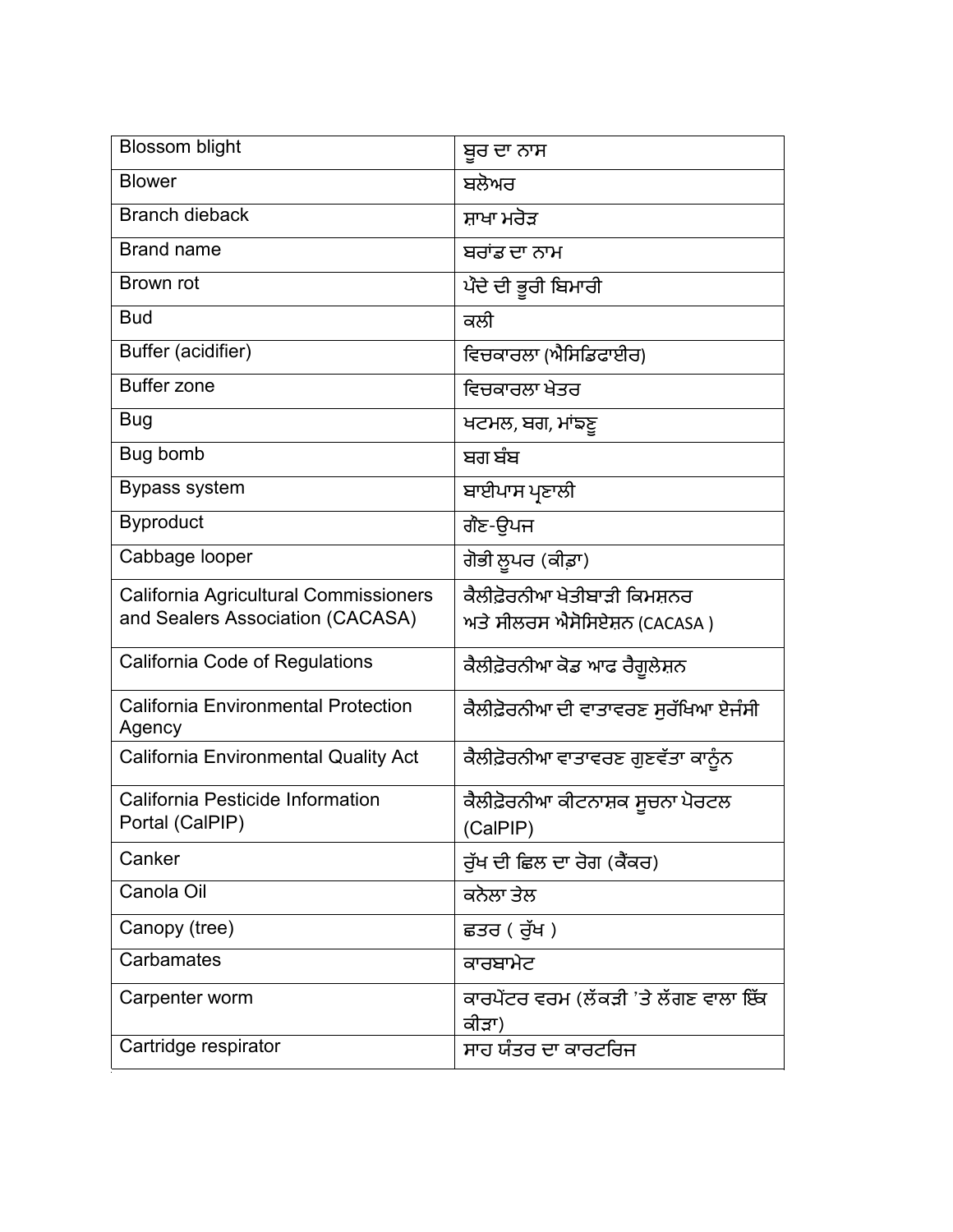| <b>Blossom blight</b>                                | ਬੁਰ ਦਾ ਨਾਸ                                     |
|------------------------------------------------------|------------------------------------------------|
| <b>Blower</b>                                        | ਬਲੋਅਰ                                          |
| <b>Branch dieback</b>                                | ਸ਼ਾਖਾ ਮਰੋੜ                                     |
| <b>Brand name</b>                                    | ਬਰਾਂਡ ਦਾ ਨਾਮ                                   |
| Brown rot                                            | ਪੰਦੇ ਦੀ ਭੁਰੀ ਬਿਮਾਰੀ                            |
| <b>Bud</b>                                           | ਕਲੀ                                            |
| Buffer (acidifier)                                   | ਵਿਚਕਾਰਲਾ (ਐਸਿਡਿਫਾਈਰ)                           |
| <b>Buffer zone</b>                                   | ਵਿਚਕਾਰਲਾ ਖੇਤਰ                                  |
| <b>Bug</b>                                           | ਖਟਮਲ, ਬਗ, ਮਾਂਙਣੁ                               |
| Bug bomb                                             | ਬਗ ਬੰਬ                                         |
| Bypass system                                        | ਬਾਈਪਾਸ ਪ੍ਰਣਾਲੀ                                 |
| <b>Byproduct</b>                                     | ਗੌਣ-ਉਪਜ                                        |
| Cabbage looper                                       | ਗੋਭੀ ਲੁਪਰ (ਕੀਡ਼ਾ)                              |
| California Agricultural Commissioners                | ਕੈਲੀਫ਼ੋਰਨੀਆ ਖੇਤੀਬਾੜੀ ਕਿਮਸ਼ਨਰ                   |
| and Sealers Association (CACASA)                     | ਅਤੇ ਸੀਲਰਸ ਐਸੋਸਿਏਸ਼ਨ (CACASA )                  |
| California Code of Regulations                       | ਕੈਲੀਫ਼ੋਰਨੀਆ ਕੋਡ ਆਫ ਰੈਗੂਲੇਸ਼ਨ                   |
| <b>California Environmental Protection</b><br>Agency | ਕੈਲੀਫ਼ੋਰਨੀਆ ਦੀ ਵਾਤਾਵਰਣ ਸੁਰੱਖਿਆ ਏਜੰਸੀ           |
| California Environmental Quality Act                 | ਕੈਲੀਫ਼ੋਰਨੀਆ ਵਾਤਾਵਰਣ ਗੁਣਵੱਤਾ ਕਾਨੂੰਨ             |
| California Pesticide Information<br>Portal (CalPIP)  | ਕੈਲੀਫ਼ੋਰਨੀਆ ਕੀਟਨਾਸ਼ਕ ਸੂਚਨਾ ਪੋਰਟਲ<br>(CalPIP)   |
| Canker                                               | ਰੁੱਖ ਦੀ ਛਿਲ ਦਾ ਰੋਗ (ਕੈਂਕਰ)                     |
| Canola Oil                                           | ਕਨੋਲਾ ਤੇਲ                                      |
| Canopy (tree)                                        | ਛਤਰ (ਰੁੱਖ)                                     |
| Carbamates                                           | ਕਾਰਬਾਮੇਟ                                       |
| Carpenter worm                                       | ਕਾਰਪੇਂਟਰ ਵਰਮ (ਲੱਕੜੀ 'ਤੇ ਲੱਗਣ ਵਾਲਾ ਇੱਕ<br>ਕੀੜਾ) |
| Cartridge respirator                                 | ਸਾਹ ਯੰਤਰ ਦਾ ਕਾਰਟਰਿਜ                            |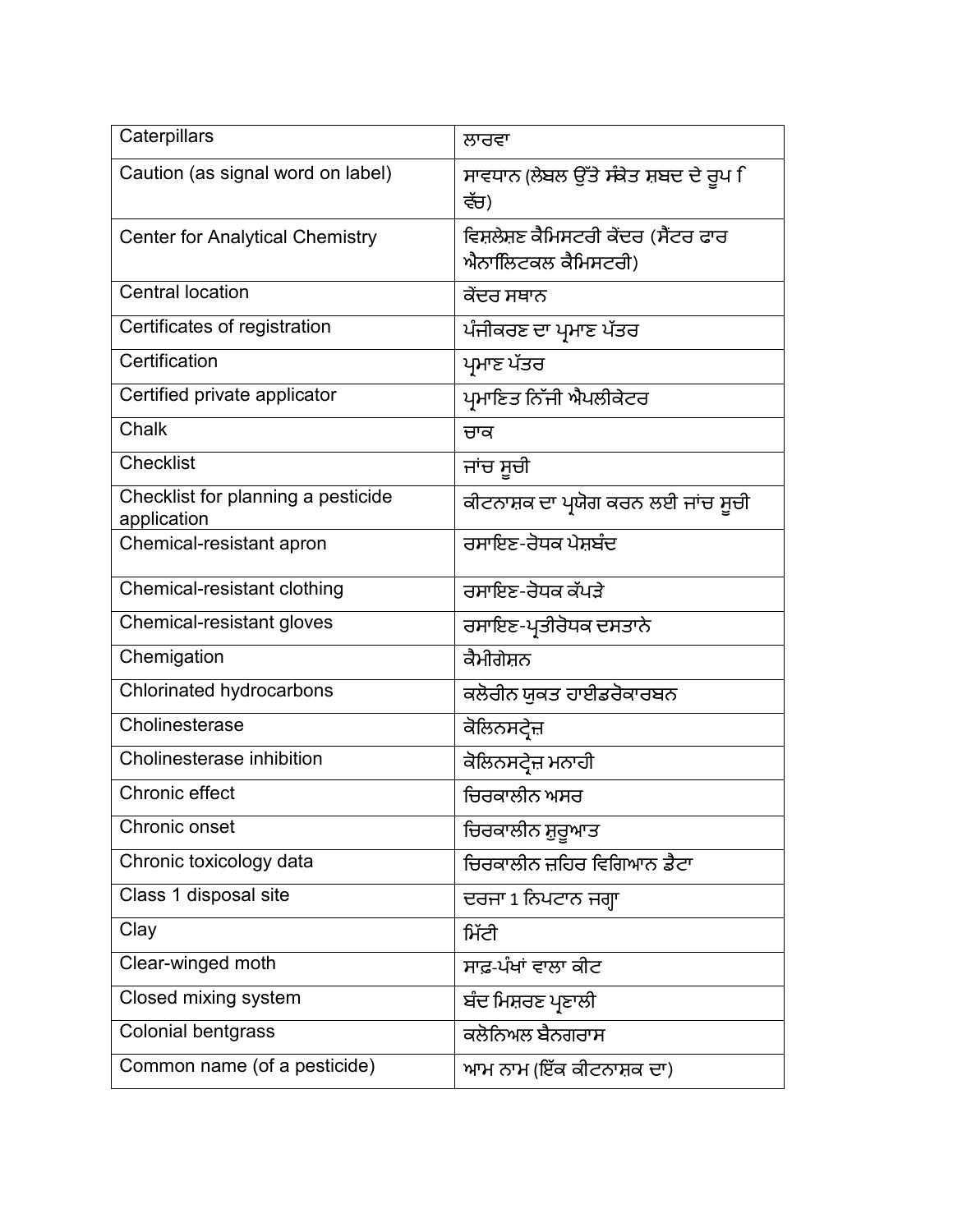| Caterpillars                                      | ਲਾਰਵਾ                                                      |
|---------------------------------------------------|------------------------------------------------------------|
| Caution (as signal word on label)                 | ਸਾਵਧਾਨ (ਲੇਬਲ ਉੱਤੇ ਸੰਕੇਤ ਸ਼ਬਦ ਦੇ ਰੂਪ ਿ<br>ਵੱਚ)              |
| <b>Center for Analytical Chemistry</b>            | ਵਿਸ਼ਲੇਸ਼ਣ ਕੈਮਿਸਟਰੀ ਕੇਂਦਰ (ਸੈਂਟਰ ਫਾਰ<br>ਐਨਾਲਿਿਟਕਲ ਕੈਮਿਸਟਰੀ) |
| <b>Central location</b>                           | ਕੇਂਦਰ ਸਥਾਨ                                                 |
| Certificates of registration                      | ਪੰਜੀਕਰਣ ਦਾ ਪ੍ਰਮਾਣ ਪੱਤਰ                                     |
| Certification                                     | ਪ੍ਰਮਾਣ ਪੱਤਰ                                                |
| Certified private applicator                      | ਪ੍ਰਮਾਣਿਤ ਨਿੱਜੀ ਐਪਲੀਕੇਟਰ                                    |
| Chalk                                             | ਚਾਕ                                                        |
| <b>Checklist</b>                                  | ਜਾਂਚ ਸੂਚੀ                                                  |
| Checklist for planning a pesticide<br>application | ਕੀਟਨਾਸ਼ਕ ਦਾ ਪ੍ਰਯੋਗ ਕਰਨ ਲਈ ਜਾਂਚ ਸੁਚੀ                        |
| Chemical-resistant apron                          | ਰਸਾਇਣ-ਰੋਧਕ ਪੇਸਬੰਦ                                          |
| Chemical-resistant clothing                       | ਰਸਾਇਣ-ਰੋਧਕ ਕੱਪਤੇ                                           |
| Chemical-resistant gloves                         | ਰਸਾਇਣ-ਪ੍ਰਤੀਰੋਧਕ ਦਸਤਾਨੇ                                     |
| Chemigation                                       | ਕੈਮੀਗੇਸ਼ਨ                                                  |
| <b>Chlorinated hydrocarbons</b>                   | ਕਲੋਰੀਨ ਯੁਕਤ ਹਾਈਡਰੋਕਾਰਬਨ                                    |
| Cholinesterase                                    | ਕੋਲਿਨਸਟ੍ਰੇਜ਼                                               |
| Cholinesterase inhibition                         | ਕੋਲਿਨਸਟ੍ਰੇਜ਼ ਮਨਾਹੀ                                         |
| Chronic effect                                    | ਚਿਰਕਾਲੀਨ ਅਸਰ                                               |
| Chronic onset                                     | ਚਿਰਕਾਲੀਨ ਸ਼ੁਰੁਆਤ                                           |
| Chronic toxicology data                           | ਚਿਰਕਾਲੀਨ ਜ਼ਹਿਰ ਵਿਗਿਆਨ ਡੈਟਾ                                 |
| Class 1 disposal site                             | ਦਰਜਾ 1 ਨਿਪਟਾਨ ਜਗ੍ਹਾ                                        |
| Clay                                              | ਮਿੱਟੀ                                                      |
| Clear-winged moth                                 | ਸਾਫ਼-ਪੰਖਾਂ ਵਾਲਾ ਕੀਟ                                        |
| Closed mixing system                              | ਬੰਦ ਮਿਸ਼ਰਣ ਪ੍ਰਣਾਲੀ                                         |
| <b>Colonial bentgrass</b>                         | ਕਲੋਨਿਅਲ ਬੈਨਗਰਾਸ                                            |
| Common name (of a pesticide)                      | ਆਮ ਨਾਮ।ਇੱਕ ਕੀਟਨਾਸ਼ਕ ਦਾ)                                    |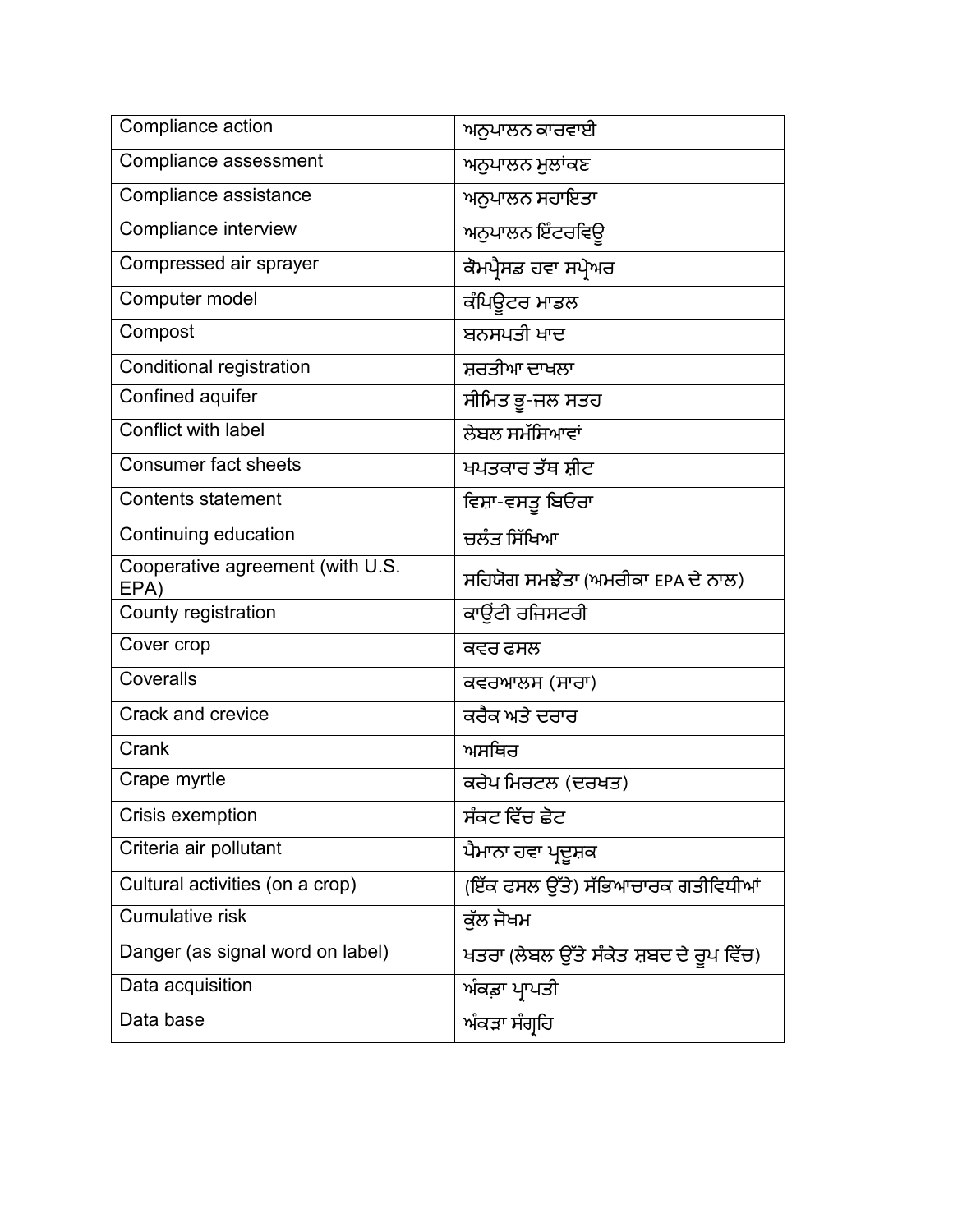| Compliance action                        | ਅਨੁਪਾਲਨ ਕਾਰਵਾਈ                          |
|------------------------------------------|-----------------------------------------|
| Compliance assessment                    | ਅਨੁਪਾਲਨ ਮੁਲਾਂਕਣ                         |
| Compliance assistance                    | ਅਨੁਪਾਲਨ ਸਹਾਇਤਾ                          |
| Compliance interview                     | ਅਨੁਪਾਲਨ ਇੰਟਰਵਿਉ                         |
| Compressed air sprayer                   | ਕੋਮਪ੍ਰੈਸਡ ਹਵਾ ਸਪ੍ਰੇਅਰ                   |
| Computer model                           | ਕੰਪਿਊਟਰ ਮਾਡਲ                            |
| Compost                                  | ਬਨਸਪਤੀ ਖਾਦ                              |
| Conditional registration                 | ਸ਼ਰਤੀਆ ਦਾਖਲਾ                            |
| Confined aquifer                         | ਸੀਮਿਤ ਭੁ-ਜਲ ਸਤਹ                         |
| Conflict with label                      | ਲੇਬਲ ਸਮੱਸਿਆਵਾਂ                          |
| <b>Consumer fact sheets</b>              | ਖਪਤਕਾਰ ਤੱਥ ਸ਼ੀਟ                         |
| <b>Contents statement</b>                | ਵਿਸ਼ਾ-ਵਸਤੂ ਬਿਓਰਾ                        |
| Continuing education                     | ਚਲੰਤ ਸਿੱਖਿਆ                             |
| Cooperative agreement (with U.S.<br>EPA) | ਸਹਿਯੋਗ ਸਮਝੌਤਾ (ਅਮਰੀਕਾ EPA ਦੇ ਨਾਲ)       |
| County registration                      | ਕਾਉਂਟੀ ਰਜਿਸਟਰੀ                          |
| Cover crop                               | ਕਵਰ ਫਸਲ                                 |
| Coveralls                                | ਕਵਰਆਲਸ (ਸਾਰਾ)                           |
| Crack and crevice                        | ਕਰੈਕ ਅਤੇ ਦਰਾਰ                           |
| Crank                                    | ਅਸਥਿਰ                                   |
| Crape myrtle                             | ਕਰੇਪ ਮਿਰਟਲ (ਦਰਖਤ)                       |
| Crisis exemption                         | ਸੰਕਟ ਵਿੱਚ ਛੋਟ                           |
| Criteria air pollutant                   | ਪੈਮਾਨਾ ਹਵਾ ਪ੍ਰਦੂਸ਼ਕ                     |
| Cultural activities (on a crop)          | (ਇੱਕ ਫਸਲ ਉੱਤੇ) ਸੱਭਿਆਚਾਰਕ ਗਤੀਵਿਧੀਆਂ      |
| <b>Cumulative risk</b>                   | ਕੁੱਲ ਜੋਖਮ                               |
| Danger (as signal word on label)         | ਖਤਰਾ (ਲੇਬਲ ਉੱਤੇ ਸੰਕੇਤ ਸ਼ਬਦ ਦੇ ਰੂਪ ਵਿੱਚ) |
| Data acquisition                         | ਅੰਕਡ਼ਾ ਪ੍ਰਾਪਤੀ                          |
| Data base                                | ਅੰਕੜਾ ਸੰਗ੍ਰਹਿ                           |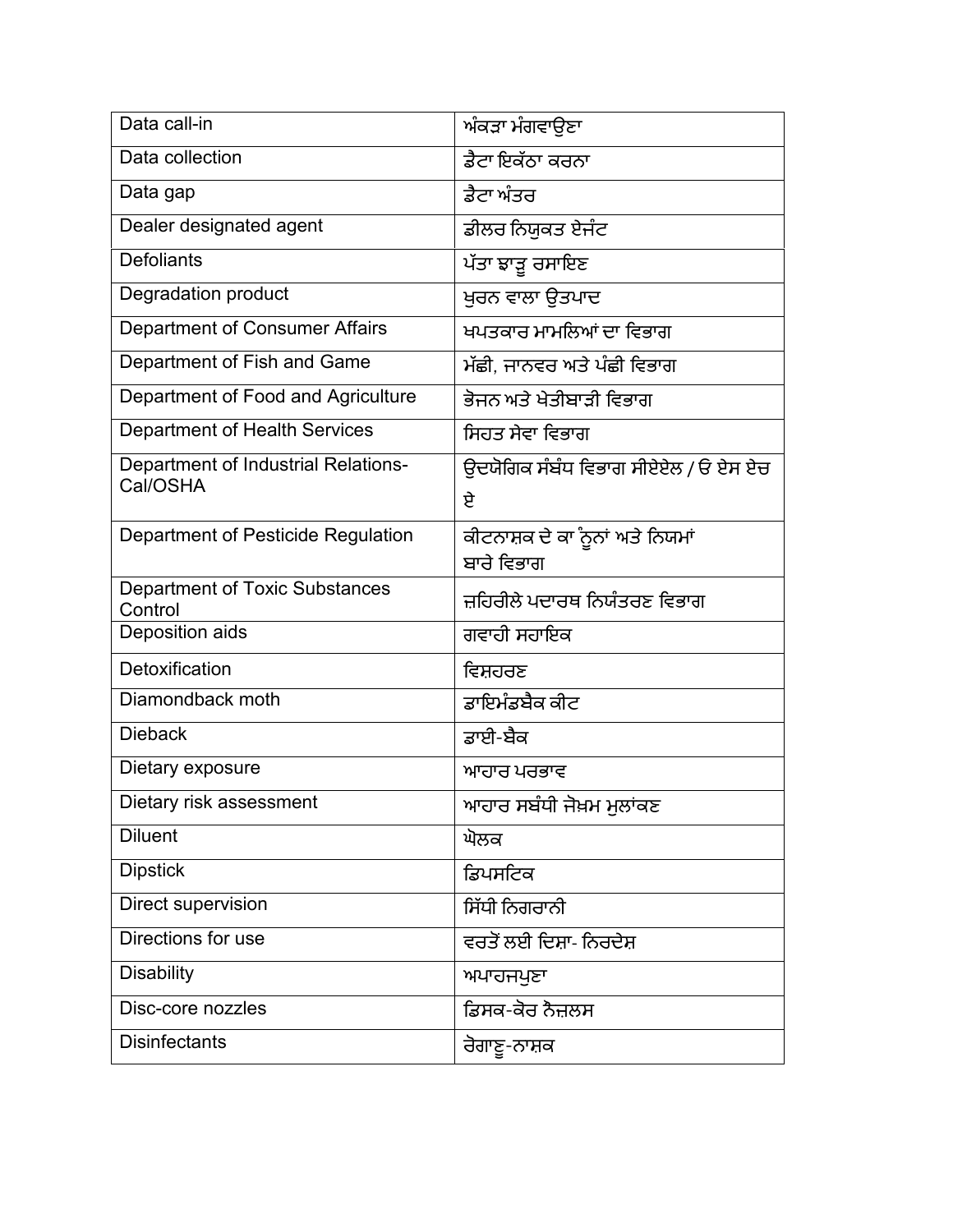| Data call-in                                           | ਅੰਕੜਾ ਮੰਗਵਾਉਣਾ                      |
|--------------------------------------------------------|-------------------------------------|
| Data collection                                        | ਡ਼ੈਟਾ ਇਕੱਠਾ ਕਰਨਾ                    |
| Data gap                                               | ਡੈਟਾ ਅੰਤਰ                           |
| Dealer designated agent                                | ਡੀਲਰ ਨਿਯੁਕਤ ਏਜੰਟ                    |
| <b>Defoliants</b>                                      | ਪੱਤਾ ਝਾੜੁ ਰਸਾਇਣ                     |
| Degradation product                                    | ਖੁਰਨ ਵਾਲਾ ਉਤਪਾਦ                     |
| Department of Consumer Affairs                         | ਖਪਤਕਾਰ ਮਾਮਲਿਆਂ ਦਾ ਵਿਭਾਗ             |
| Department of Fish and Game                            | ਮੱਛੀ, ਜਾਨਵਰ ਅਤੇ ਪੰਛੀ ਵਿਭਾਗ          |
| Department of Food and Agriculture                     | ਭੋਜਨ ਅਤੇ ਖੇਤੀਬਾਤੀ ਵਿਭਾਗ             |
| <b>Department of Health Services</b>                   | ਸਿਹਤ ਸੇਵਾ ਵਿਭਾਗ                     |
| <b>Department of Industrial Relations-</b><br>Cal/OSHA | ਉਦਯੋਗਿਕ ਸੰਬੰਧ ਵਿਭਾਗ ਸੀਏਏਲ / ਓ ਏਸ ਏਚ |
|                                                        | ਏ                                   |
| Department of Pesticide Regulation                     | ਕੀਟਨਾਸ਼ਕ ਦੇ ਕਾ ਨੁਨਾਂ ਅਤੇ ਨਿਯਮਾਂ     |
|                                                        | ਬਾਰੇ ਵਿਭਾਗ                          |
| <b>Department of Toxic Substances</b><br>Control       | ਜ਼ਹਿਰੀਲੇ ਪਦਾਰਥ ਨਿਯੰਤਰਣ ਵਿਭਾਗ        |
| Deposition aids                                        | ਗਵਾਹੀ ਸਹਾਇਕ                         |
| Detoxification                                         | ਵਿਸ਼ਹਰਣ                             |
| Diamondback moth                                       | ਡਾਇਮੰਡਬੈਕ ਕੀਟ                       |
| <b>Dieback</b>                                         | ਡਾਈ-ਬੈਕ                             |
| Dietary exposure                                       | ਆਹਾਰ ਪਰਭਾਵ                          |
| Dietary risk assessment                                | ਆਹਾਰ ਸਬੰਧੀ ਜੋਖ਼ਮ ਮੁਲਾਂਕਣ            |
| <b>Diluent</b>                                         | ਘੋਲਕ                                |
| <b>Dipstick</b>                                        | ਡਿਪਸਟਿਕ                             |
| Direct supervision                                     | ਸਿੱਧੀ ਨਿਗਰਾਨੀ                       |
| Directions for use                                     | ਵਰਤੋਂ ਲਈ ਦਿਸ਼ਾ- ਨਿਰਦੇਸ਼             |
| <b>Disability</b>                                      | ਅਪਾਹਜਪੁਣਾ                           |
| Disc-core nozzles                                      | ਡਿਸਕ-ਕੋਰ ਨੈਜ਼ਲਸ                     |
| <b>Disinfectants</b>                                   | ਰੋਗਾਣੂ-ਨਾਸ਼ਕ                        |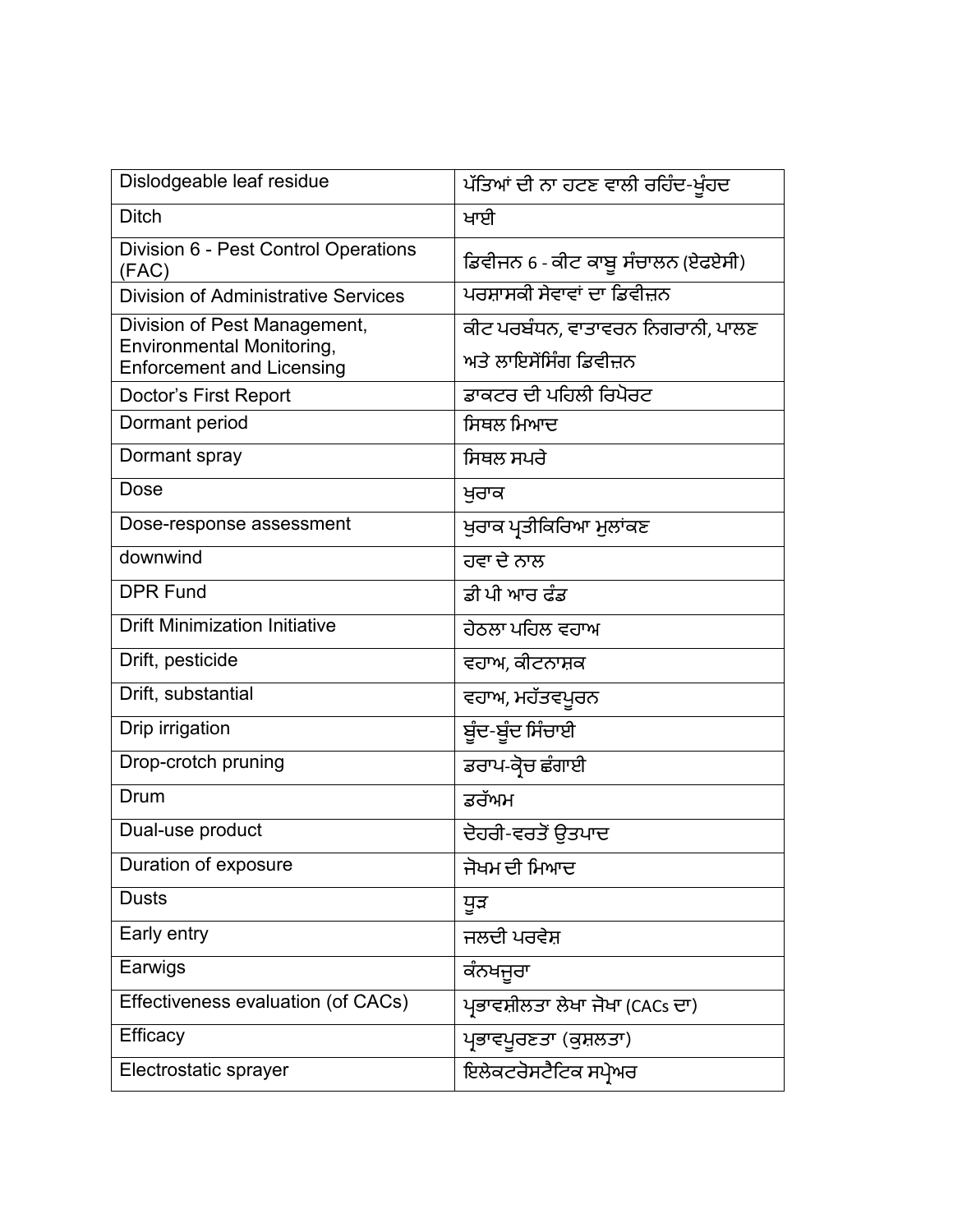| Dislodgeable leaf residue                                            | ਪੱਤਿਆਂ ਦੀ ਨਾ ਹਟਣ ਵਾਲੀ ਰਹਿੰਦ-ਖੁੰਹਦ  |
|----------------------------------------------------------------------|------------------------------------|
| <b>Ditch</b>                                                         | ਖਾਈ                                |
| Division 6 - Pest Control Operations<br>(FAC)                        | ਡਿਵੀਜਨ 6 - ਕੀਟ ਕਾਬੂ ਸੰਚਾਲਨ (ਏਫਏਸੀ) |
| <b>Division of Administrative Services</b>                           | ਪਰਸ਼ਾਸਕੀ ਸੇਵਾਵਾਂ ਦਾ ਡਿਵੀਜ਼ਨ        |
| Division of Pest Management,                                         | ਕੀਟ ਪਰਬੰਧਨ, ਵਾਤਾਵਰਨ ਨਿਗਰਾਨੀ, ਪਾਲਣ  |
| <b>Environmental Monitoring,</b><br><b>Enforcement and Licensing</b> | ਅਤੇ ਲਾਇਸੇਂਸਿੰਗ ਡਿਵੀਜ਼ਨ             |
| Doctor's First Report                                                | ਡਾਕਟਰ ਦੀ ਪਹਿਲੀ ਰਿਪੋਰਟ              |
| Dormant period                                                       | ਸਿਥਲ ਮਿਆਦ                          |
| Dormant spray                                                        | ਸਿਥਲ ਸਪਰੇ                          |
| Dose                                                                 | ਖਰਾਕ                               |
| Dose-response assessment                                             | ਖੁਰਾਕ ਪ੍ਰਤੀਕਿਰਿਆ ਮੁਲਾਂਕਣ           |
| downwind                                                             | ਹਵਾ ਦੇ ਨਾਲ                         |
| <b>DPR Fund</b>                                                      | ਡ਼ੀ ਪੀ ਆਰ ਫੰਡ                      |
| <b>Drift Minimization Initiative</b>                                 | ਹੇਠਲਾ ਪਹਿਲ ਵਹਾਅ                    |
| Drift, pesticide                                                     | ਵਹਾਅ, ਕੀਟਨਾਸ਼ਕ                     |
| Drift, substantial                                                   | ਵਹਾਅ, ਮਹੱਤਵਪੂਰਨ                    |
| Drip irrigation                                                      | ਬੂੰਦ-ਬੂੰਦ ਸਿੰਚਾਈ                   |
| Drop-crotch pruning                                                  | ਡਰਾਪ-ਕ੍ਰੋਚ ਛੰਗਾਈ                   |
| Drum                                                                 | ਡਰੱਅਮ                              |
| Dual-use product                                                     | ਦੋਹਰੀ-ਵਰਤੋਂ ਉਤਪਾਦ                  |
| Duration of exposure                                                 | ਜੋਖਮ ਦੀ ਮਿਆਦ                       |
| <b>Dusts</b>                                                         | ਧੂੜ                                |
| Early entry                                                          | ਜਲਦੀ ਪਰਵੇਸ਼                        |
| Earwigs                                                              | ਕੰਨਖਜੁਰਾ                           |
| Effectiveness evaluation (of CACs)                                   | ਪ੍ਰਭਾਵਸ਼ੀਲਤਾ ਲੇਖਾ ਜੋਖਾ (CACs ਦਾ)   |
| Efficacy                                                             | ਪ੍ਰਭਾਵਪੂਰਣਤਾ (ਕੁਸ਼ਲਤਾ)             |
| Electrostatic sprayer                                                | ਇਲੇਕਟਰੋਸਟੈਟਿਕ ਸਪ੍ਰੇਅਰ              |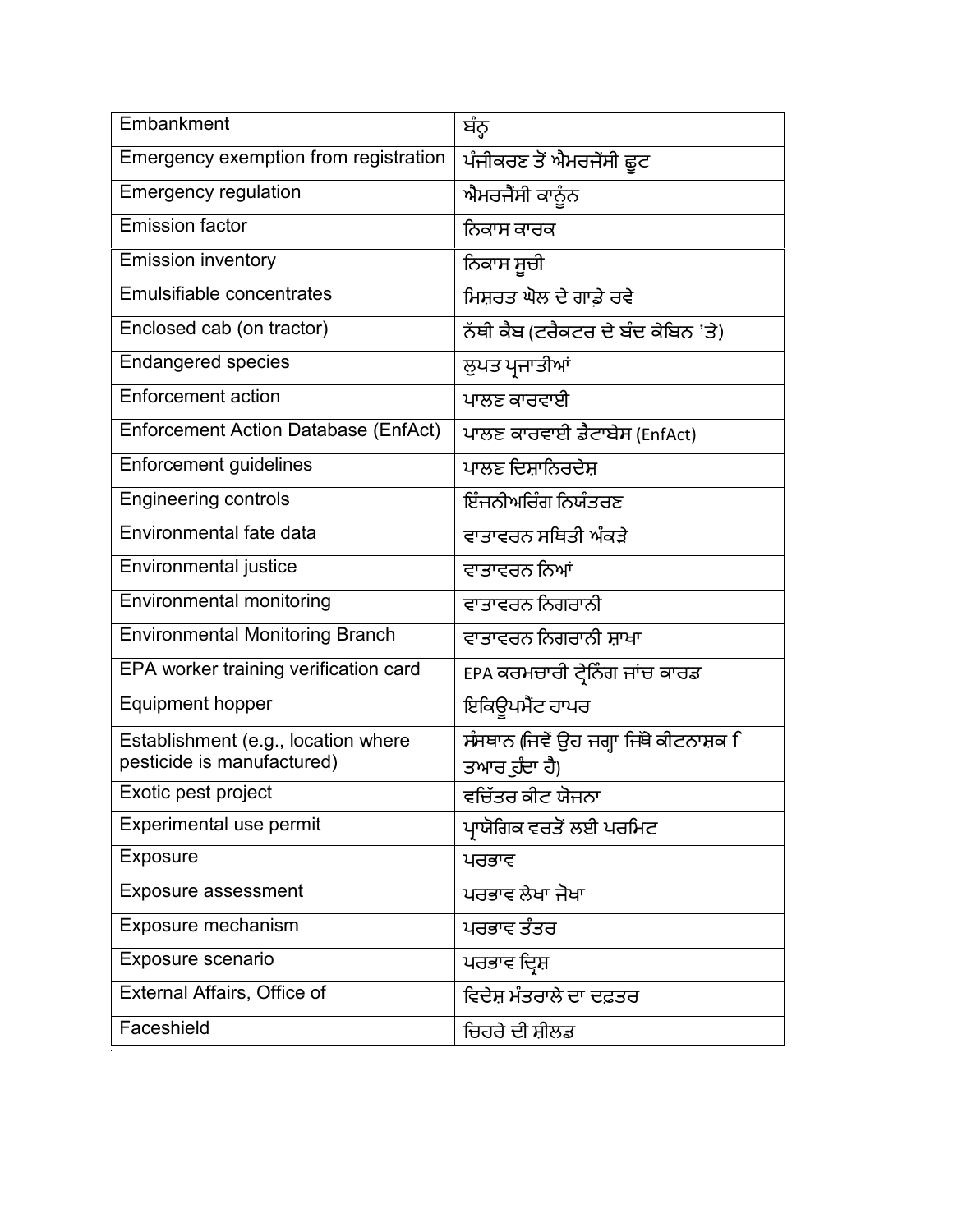| Embankment                                                        | ਬੰਨ੍ਹ                                                    |
|-------------------------------------------------------------------|----------------------------------------------------------|
| Emergency exemption from registration                             | ਪੰਜੀਕਰਣ ਤੋਂ ਐਮਰਜੇਂਸੀ ਛੂਟ                                 |
| <b>Emergency regulation</b>                                       | ਐਮਰਜੈਂਸੀ ਕਾਨੂੰਨ                                          |
| <b>Emission factor</b>                                            | ਨਿਕਾਸ ਕਾਰਕ                                               |
| <b>Emission inventory</b>                                         | ਨਿਕਾਸ ਸੁਚੀ                                               |
| Emulsifiable concentrates                                         | ਮਿਸ਼ਰਤ ਘੋਲ ਦੇ ਗਾਡ਼ੇ ਰਵੇ                                  |
| Enclosed cab (on tractor)                                         | ਨੱਥੀ ਕੈਬ (ਟਰੈਕਟਰ ਦੇ ਬੰਦ ਕੇਬਿਨ 'ਤੇ)                       |
| <b>Endangered species</b>                                         | ਲੁਪਤ ਪ੍ਰਜਾਤੀਆਂ                                           |
| Enforcement action                                                | ਪਾਲਣ ਕਾਰਵਾਈ                                              |
| Enforcement Action Database (EnfAct)                              | ਪਾਲਣ ਕਾਰਵਾਈ ਡੈਟਾਬੇਸ (EnfAct)                             |
| <b>Enforcement guidelines</b>                                     | ਪਾਲਣ ਦਿਸਾਨਿਰਦੇਸ                                          |
| <b>Engineering controls</b>                                       | ਇੰਜਨੀਅਰਿੰਗ ਨਿਯੰਤਰਣ                                       |
| Environmental fate data                                           | ਵਾਤਾਵਰਨ ਸਥਿਤੀ ਅੰਕੜੇ                                      |
| Environmental justice                                             | ਵਾਤਾਵਰਨ ਨਿਆਂ                                             |
| <b>Environmental monitoring</b>                                   | ਵਾਤਾਵਰਨ ਨਿਗਰਾਨੀ                                          |
| <b>Environmental Monitoring Branch</b>                            | ਵਾਤਾਵਰਨ ਨਿਗਰਾਨੀ ਸ਼ਾਖਾ                                    |
| EPA worker training verification card                             | EPA ਕਰਮਚਾਰੀ ਟ੍ਰੇਨਿੰਗ ਜਾਂਚ ਕਾਰਡ                           |
| <b>Equipment hopper</b>                                           | ਇਕਿਉਪਮੈਂਟ ਹਾਪਰ                                           |
| Establishment (e.g., location where<br>pesticide is manufactured) | ਸੰਸਥਾਨ (ਜਿਵੇਂ ਉਹ ਜਗ੍ਹਾ ਜਿੱਥੋ ਕੀਟਨਾਸ਼ਕ ਿ<br>ਤਆਰ ਹੁੰਦਾ ਹੈ) |
| Exotic pest project                                               | ਵਚਿੱਤਰ ਕੀਟ ਯੋਜਨਾ                                         |
| <b>Experimental use permit</b>                                    | ਪਾਯੋਗਿਕ ਵਰਤੋਂ ਲਈ ਪਰਮਿਟ                                   |
| <b>Exposure</b>                                                   | ਪਰਭਾਵ                                                    |
| <b>Exposure assessment</b>                                        | ਪਰਭਾਵ ਲੇਖਾ ਜੋਖਾ                                          |
| Exposure mechanism                                                | ਪਰਭਾਵ ਤੰਤਰ                                               |
| Exposure scenario                                                 | ਪਰਭਾਵ ਦ੍ਰਿਸ਼                                             |
| External Affairs, Office of                                       | ਵਿਦੇਸ਼ ਮੰਤਰਾਲੇ ਦਾ ਦਫ਼ਤਰ                                  |
| Faceshield                                                        | ਚਿਹਰੇ ਦੀ ਸ਼ੀਲਡ                                           |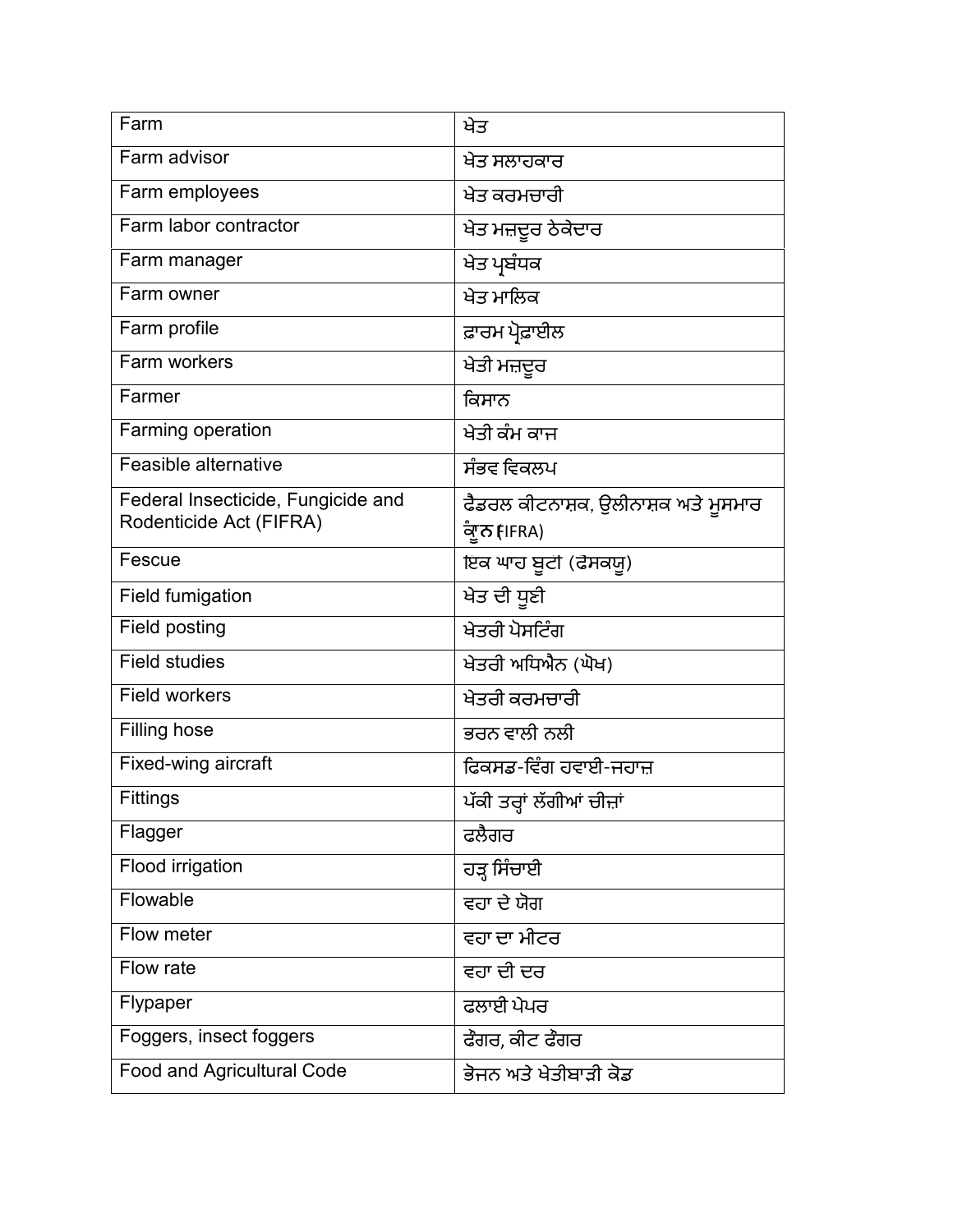| Farm                                                          | ਖੇਤ                                                |
|---------------------------------------------------------------|----------------------------------------------------|
| Farm advisor                                                  | ਖੇਤ ਸਲਾਹਕਾਰ                                        |
| Farm employees                                                | ਖੇਤ ਕਰਮਚਾਰੀ                                        |
| Farm labor contractor                                         | ਖੇਤ ਮਜ਼ਦੂਰ ਠੇਕੇਦਾਰ                                 |
| Farm manager                                                  | ਖੇਤ ਪ੍ਰਬੰਧਕ                                        |
| Farm owner                                                    | ਖੇਤ ਮਾਲਿਕ                                          |
| Farm profile                                                  | ਫ਼ਾਰਮ ਪ੍ਰੋਫ਼ਾਈਲ                                    |
| Farm workers                                                  | ਖੇਤੀ ਮਜ਼ਦੂਰ                                        |
| Farmer                                                        | ਕਿਸਾਨ                                              |
| Farming operation                                             | ਖੇਤੀ ਕੰਮ ਕਾਜ                                       |
| Feasible alternative                                          | ਸੰਭਵ ਵਿਕਲਪ                                         |
| Federal Insecticide, Fungicide and<br>Rodenticide Act (FIFRA) | ਫੈਡਰਲ ਕੀਟਨਾਸ਼ਕ, ਉਲੀਨਾਸ਼ਕ ਅਤੇ ਮੁਸਮਾਰ<br>ੰਗੁਨ (IFRA) |
| Fescue                                                        | ਇਕ ਘਾਹ ਬੁਟੀ (ਫੋਸਕਯੁ)                               |
| <b>Field fumigation</b>                                       | ਖੇਤ ਦੀ ਧੂਣੀ                                        |
| Field posting                                                 | ਖੇਤਰੀ ਪੋਸਟਿੰਗ                                      |
| <b>Field studies</b>                                          | ਖੇਤਰੀ ਅਧਿਐਨ (ਘੋਖ)                                  |
| <b>Field workers</b>                                          | ਖੇਤਰੀ ਕਰਮਚਾਰੀ                                      |
| Filling hose                                                  | ਭਰਨ ਵਾਲੀ ਨਲੀ                                       |
| Fixed-wing aircraft                                           | ਫਿਕਸਡ-ਵਿੰਗ ਹਵਾਈ-ਜਹਾਜ਼                              |
| Fittings                                                      | ਪੱਕੀ ਤਰ੍ਹਾਂ ਲੱਗੀਆਂ ਚੀਜ਼ਾਂ                          |
| Flagger                                                       | ਫਲੈਗਰ                                              |
| Flood irrigation                                              | ਹੜ੍ਹ ਸਿੰਚਾਈ                                        |
| Flowable                                                      | ਵਹਾ ਦੇ ਯੋਗ                                         |
| Flow meter                                                    | ਵਹਾ ਦਾ ਮੀਟਰ                                        |
| Flow rate                                                     | ਵਹਾ ਦੀ ਦਰ                                          |
| Flypaper                                                      | ਫਲਾਈ ਪੇਪਰ                                          |
| Foggers, insect foggers                                       | ਫੰਗਰ, ਕੀਟ ਫੰਗਰ                                     |
| Food and Agricultural Code                                    | ਭੋਜਨ ਅਤੇ ਖੇਤੀਬਾੜੀ ਕੋਡ                              |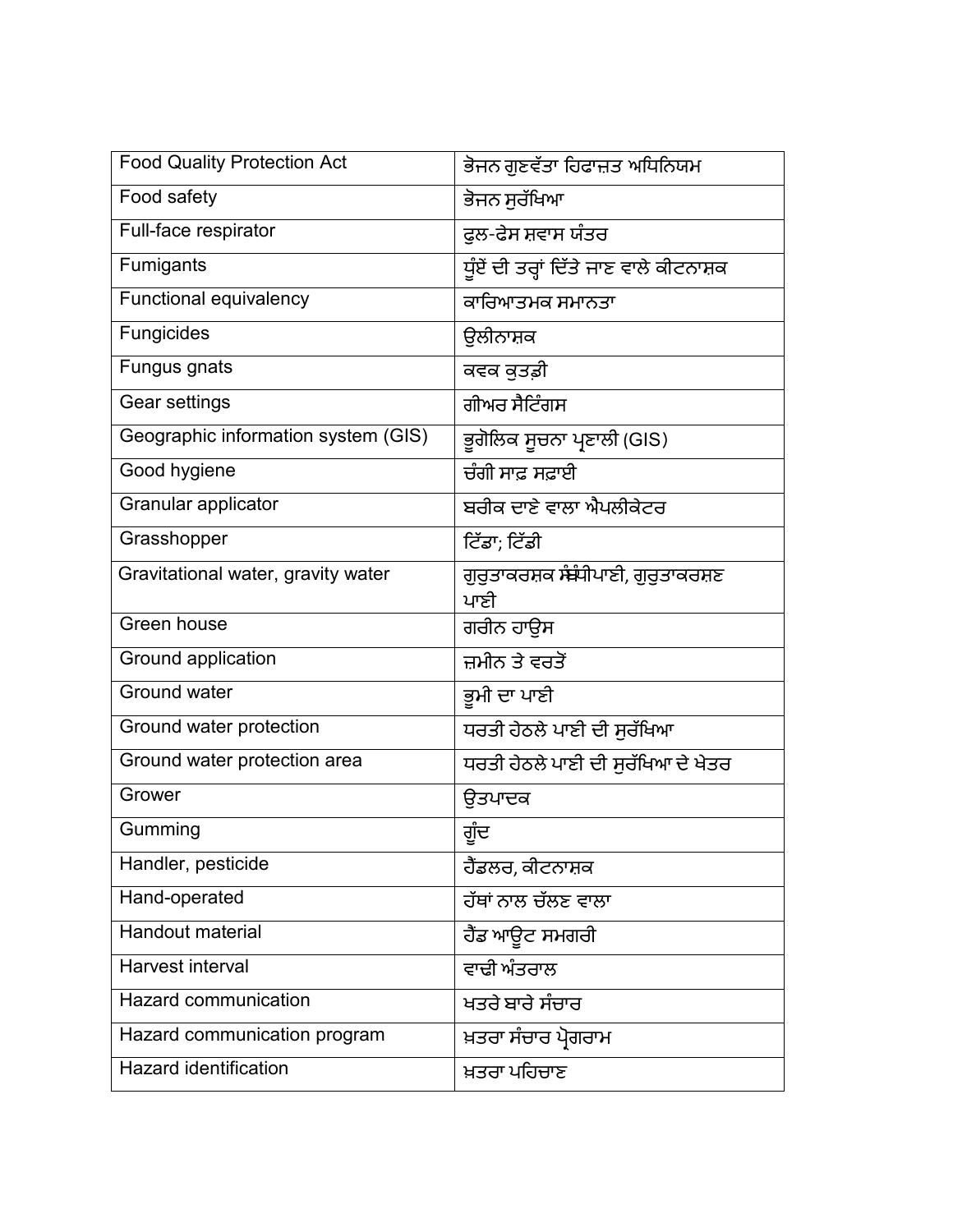| <b>Food Quality Protection Act</b>  | ਭੋਜਨ ਗੁਣਵੱਤਾ ਹਿਫਾਜ਼ਤ ਅਧਿਨਿਯਮ                |
|-------------------------------------|---------------------------------------------|
| Food safety                         | ਭੋਜਨ ਸੁਰੱਖਿਆ                                |
| Full-face respirator                | ਫਲ-ਫੇਸ ਸ਼ਵਾਸ ਯੰਤਰ                           |
| Fumigants                           | ਧੁੰਏਂ ਦੀ ਤਰ੍ਹਾਂ ਦਿੱਤੇ ਜਾਣ ਵਾਲੇ ਕੀਟਨਾਸ਼ਕ     |
| Functional equivalency              | ਕਾਰਿਆਤਮਕ ਸਮਾਨਤਾ                             |
| Fungicides                          | ਉਲੀਨਾਸ਼ਕ                                    |
| Fungus gnats                        | ਕਵਕ ਕੁਤਡ਼ੀ                                  |
| Gear settings                       | ਗੀਅਰ ਸੈਟਿੰਗਸ                                |
| Geographic information system (GIS) | ਭੁਗੋਲਿਕ ਸੁਚਨਾ ਪ੍ਰਣਾਲੀ (GIS)                 |
| Good hygiene                        | ਚੰਗੀ ਸਾਫ਼ ਸਫ਼ਾਈ                             |
| Granular applicator                 | ਬਰੀਕ ਦਾਣੇ ਵਾਲਾ ਐਪਲੀਕੇਟਰ                     |
| Grasshopper                         | ਟਿੱਡਾ; ਟਿੱਡੀ                                |
| Gravitational water, gravity water  | ਗੁਰੁਤਾਕਰਸ਼ਕ ਸੰਬੰਧੀਪਾਣੀ, ਗੁਰੁਤਾਕਰਸ਼ਣ<br>ਪਾਣੀ |
| Green house                         | ਗਰੀਨ ਹਾਉਸ                                   |
| Ground application                  | ਜ਼ਮੀਨ ਤੇ ਵਰਤੋਂ                              |
| <b>Ground water</b>                 | ਭੂਮੀ ਦਾ ਪਾਣੀ                                |
| Ground water protection             | ਧਰਤੀ ਹੇਠਲੇ ਪਾਣੀ ਦੀ ਸੁਰੱਖਿਆ                  |
| Ground water protection area        | ਧਰਤੀ ਹੇਠਲੇ ਪਾਣੀ ਦੀ ਸੁਰੱਖਿਆ ਦੇ ਖੇਤਰ          |
| Grower                              | ਉਤਪਾਦਕ                                      |
| Gumming                             | ਗੁੰਦ                                        |
| Handler, pesticide                  | ਹੈਂਡਲਰ, ਕੀਟਨਾਸ਼ਕ                            |
| Hand-operated                       | ਹੱਥਾਂ ਨਾਲ ਚੱਲਣ ਵਾਲਾ                         |
| Handout material                    | ਹੈਂਡ ਆਉਟ ਸਮਗਰੀ                              |
| <b>Harvest interval</b>             | ਵਾਢੀ ਅੰਤਰਾਲ                                 |
| <b>Hazard communication</b>         | ਖਤਰੇ ਬਾਰੇ ਸੰਚਾਰ                             |
| Hazard communication program        | ਖ਼ਤਰਾ ਸੰਚਾਰ ਪ੍ਰੋਗਰਾਮ                        |
| <b>Hazard identification</b>        | ਖ਼ਤਰਾ ਪਹਿਚਾਣ                                |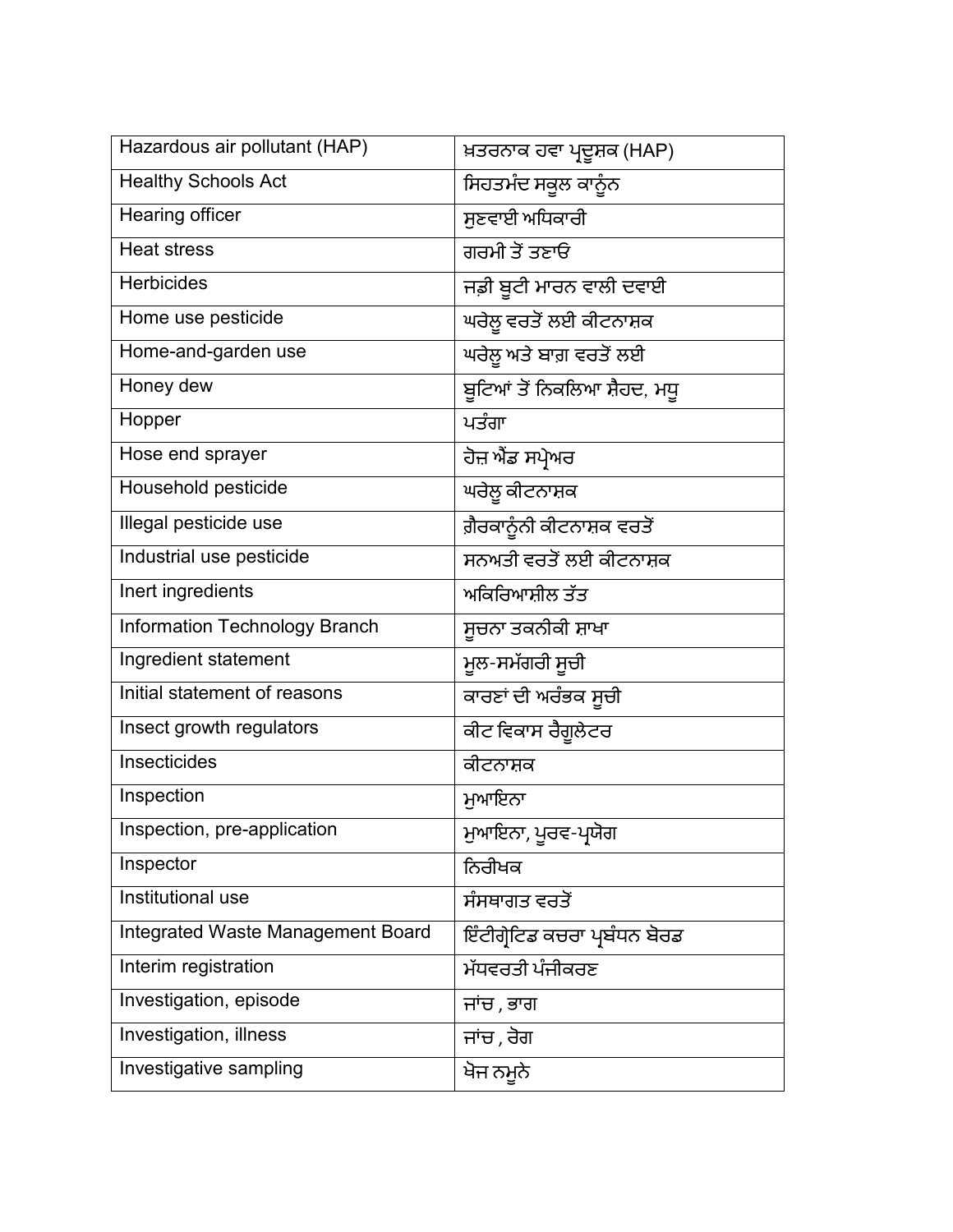| Hazardous air pollutant (HAP)     | ਖ਼ਤਰਨਾਕ ਹਵਾ ਪ੍ਰਦੂਸ਼ਕ (HAP)    |
|-----------------------------------|-------------------------------|
| <b>Healthy Schools Act</b>        | ਸਿਹਤਮੰਦ ਸਕੂਲ ਕਾਨੂੰਨ           |
| Hearing officer                   | ਸੁਣਵਾਈ ਅਧਿਕਾਰੀ                |
| <b>Heat stress</b>                | ਗਰਮੀ ਤੋਂ ਤਣਾਓ                 |
| Herbicides                        | ਜਡ਼ੀ ਬੁਟੀ ਮਾਰਨ ਵਾਲੀ ਦਵਾਈ      |
| Home use pesticide                | ਘਰੇਲੂ ਵਰਤੋਂ ਲਈ ਕੀਟਨਾਸ਼ਕ       |
| Home-and-garden use               | ਘਰੇਲੂ ਅਤੇ ਬਾਗ਼ ਵਰਤੋਂ ਲਈ       |
| Honey dew                         | ਬੁਟਿਆਂ ਤੋਂ ਨਿਕਲਿਆ ਸ਼ੈਹਦ, ਮਧੁ  |
| Hopper                            | ਪਤੰਗਾ                         |
| Hose end sprayer                  | ਹੋਜ਼ ਐਂਡ ਸਪ੍ਰੇਅਰ              |
| Household pesticide               | ਘਰੇਲੂ ਕੀਟਨਾਸ਼ਕ                |
| Illegal pesticide use             | ਗ਼ੈਰਕਾਨੂੰਨੀ ਕੀਟਨਾਸ਼ਕ ਵਰਤੋਂ    |
| Industrial use pesticide          | ਸਨਅਤੀ ਵਰਤੋਂ ਲਈ ਕੀਟਨਾਸ਼ਕ       |
| Inert ingredients                 | ਅਕਿਰਿਆਸ਼ੀਲ ਤੱਤ                |
| Information Technology Branch     | ਸੁਚਨਾ ਤਕਨੀਕੀ ਸ਼ਾਖਾ            |
| Ingredient statement              | ਮੁਲ-ਸਮੱਗਰੀ ਸੁਚੀ               |
| Initial statement of reasons      | ਕਾਰਣਾਂ ਦੀ ਅਰੰਭਕ ਸੂਚੀ          |
| Insect growth regulators          | ਕੀਟ ਵਿਕਾਸ ਰੈਗੁਲੇਟਰ            |
| Insecticides                      | ਕੀਟਨਾਸ਼ਕ                      |
| Inspection                        | ਮੁਆਇਨਾ                        |
| Inspection, pre-application       | ਮੁਆਇਨਾ, ਪੂਰਵ-ਪ੍ਰਯੋਗ           |
| Inspector                         | ਨਿਰੀਖਕ                        |
| Institutional use                 | ਸੰਸਥਾਗਤ ਵਰਤੋਂ                 |
| Integrated Waste Management Board | ਇੰਟੀਗ੍ਰੇਟਿਡ ਕਚਰਾ ਪ੍ਰਬੰਧਨ ਬੋਰਡ |
| Interim registration              | ਮੱਧਵਰਤੀ ਪੰਜੀਕਰਣ               |
| Investigation, episode            | ਜਾਂਚ , ਭਾਗ                    |
| Investigation, illness            | ਜਾਂਚ , ਰੋਗ                    |
| Investigative sampling            | ਖੋਜ ਨਮੂਨੇ                     |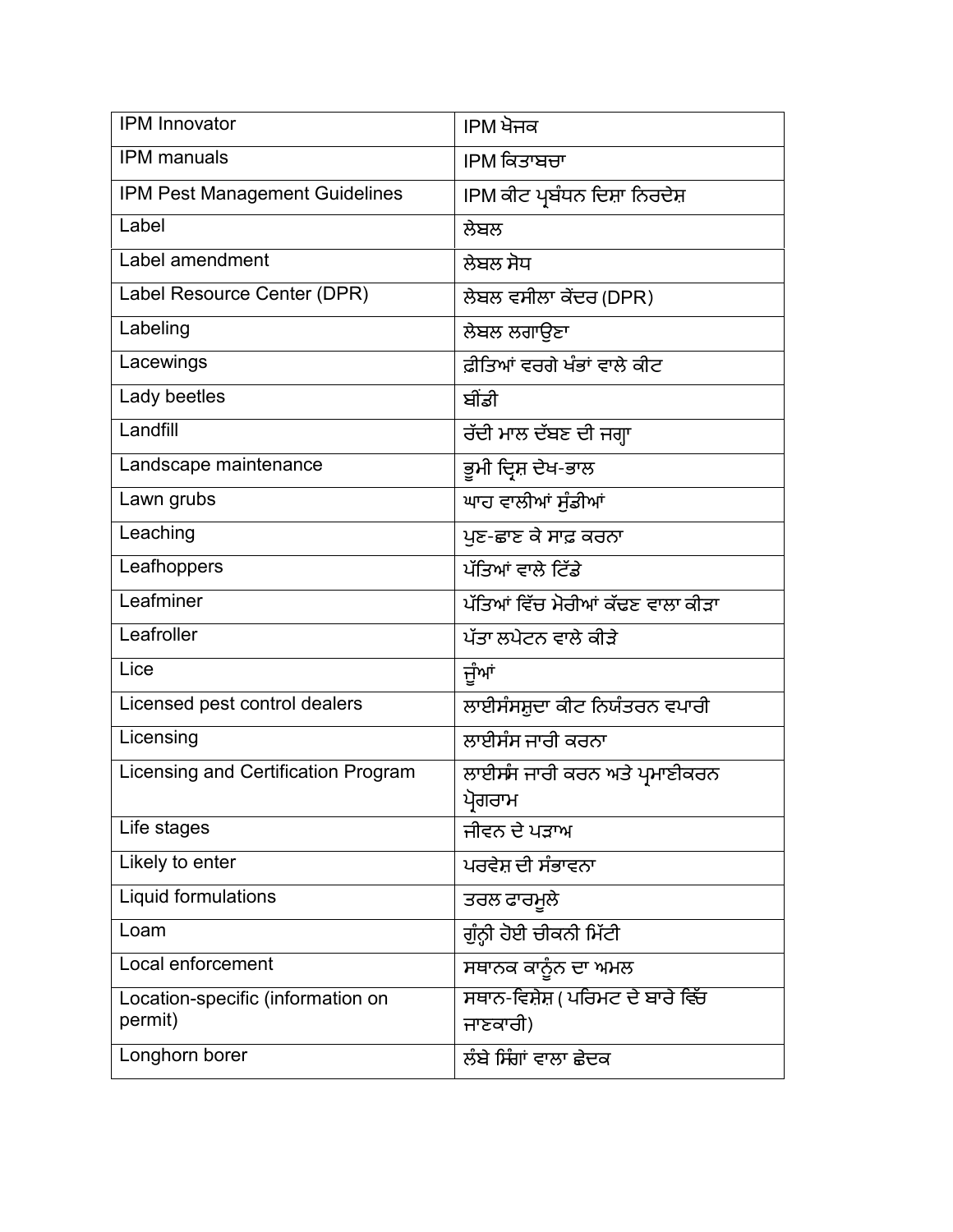| <b>IPM</b> Innovator                | IPM ਖੋਜਕ                          |
|-------------------------------------|-----------------------------------|
| <b>IPM</b> manuals                  | IPM ਕਿਤਾਬਚਾ                       |
| IPM Pest Management Guidelines      | IPM ਕੀਟ ਪ੍ਰਬੰਧਨ ਦਿਸ਼ਾ ਨਿਰਦੇਸ਼     |
| Label                               | ਲੇਬਲ                              |
| Label amendment                     | ਲੇਬਲ ਸੋਧ                          |
| Label Resource Center (DPR)         | ਲੇਬਲ ਵਸੀਲਾ ਕੇਂਦਰ (DPR)            |
| Labeling                            | ਲੇਬਲ ਲਗਾੳਣਾ                       |
| Lacewings                           | ਫ਼ੀਤਿਆਂ ਵਰਗੇ ਖੰਭਾਂ ਵਾਲੇ ਕੀਟ       |
| Lady beetles                        | ਬੀਂਡੀ                             |
| Landfill                            | ਰੱਦੀ ਮਾਲ ਦੱਬਣ ਦੀ ਜਗ੍ਹਾ            |
| Landscape maintenance               | ਭੁਮੀ ਦ੍ਰਿਸ਼ ਦੇਖ-ਭਾਲ               |
| Lawn grubs                          | ਘਾਹ ਵਾਲੀਆਂ ਸੰਡੀਆਂ                 |
| Leaching                            | ਪੁਣ-ਛਾਣ ਕੇ ਸਾਫ਼ ਕਰਨਾ              |
| Leafhoppers                         | ਪੱਤਿਆਂ ਵਾਲੇ ਟਿੱਡੇ                 |
| Leafminer                           | ਪੱਤਿਆਂ ਵਿੱਚ ਮੋਰੀਆਂ ਕੱਢਣ ਵਾਲਾ ਕੀਤਾ |
| Leafroller                          | ਪੱਤਾ ਲਪੇਟਨ ਵਾਲੇ ਕੀੜੇ              |
| Lice                                | ਜੁੰਆਂ                             |
| Licensed pest control dealers       | ਲਾਈਸੰਸਸ਼ੁਦਾ ਕੀਟ ਨਿਯੰਤਰਨ ਵਪਾਰੀ     |
| Licensing                           | ਲਾਈਸੰਸ ਜਾਰੀ ਕਰਨਾ                  |
| Licensing and Certification Program | ਲਾਈਸੰਸ ਜਾਰੀ ਕਰਨ ਅਤੇ ਪ੍ਰਮਾਣੀਕਰਨ    |
|                                     | ਪੋਗਰਾਮ                            |
| Life stages                         | ਜੀਵਨ ਦੇ ਪੜਾਅ                      |
| Likely to enter                     | ਪਰਵੇਸ਼ ਦੀ ਸੰਭਾਵਨਾ                 |
| Liquid formulations                 | ਤਰਲ ਫਾਰਮੁਲੇ                       |
| Loam                                | ਗੂੰਨ੍ਹੀ ਹੋਈ ਚੀਕਨੀ ਮਿੱਟੀ           |
| Local enforcement                   | ਸਥਾਨਕ ਕਾਨੂੰਨ ਦਾ ਅਮਲ               |
| Location-specific (information on   | ਸਥਾਨ-ਵਿਸ਼ੇਸ਼। ਪਰਿਮਟ ਦੇ ਬਾਰੇ ਵਿੱਚ  |
| permit)                             | ਜਾਣਕਾਰੀ)                          |
| Longhorn borer                      | ਲੰਬੇ ਸਿੰਗਾਂ ਵਾਲਾ ਛੇਦਕ             |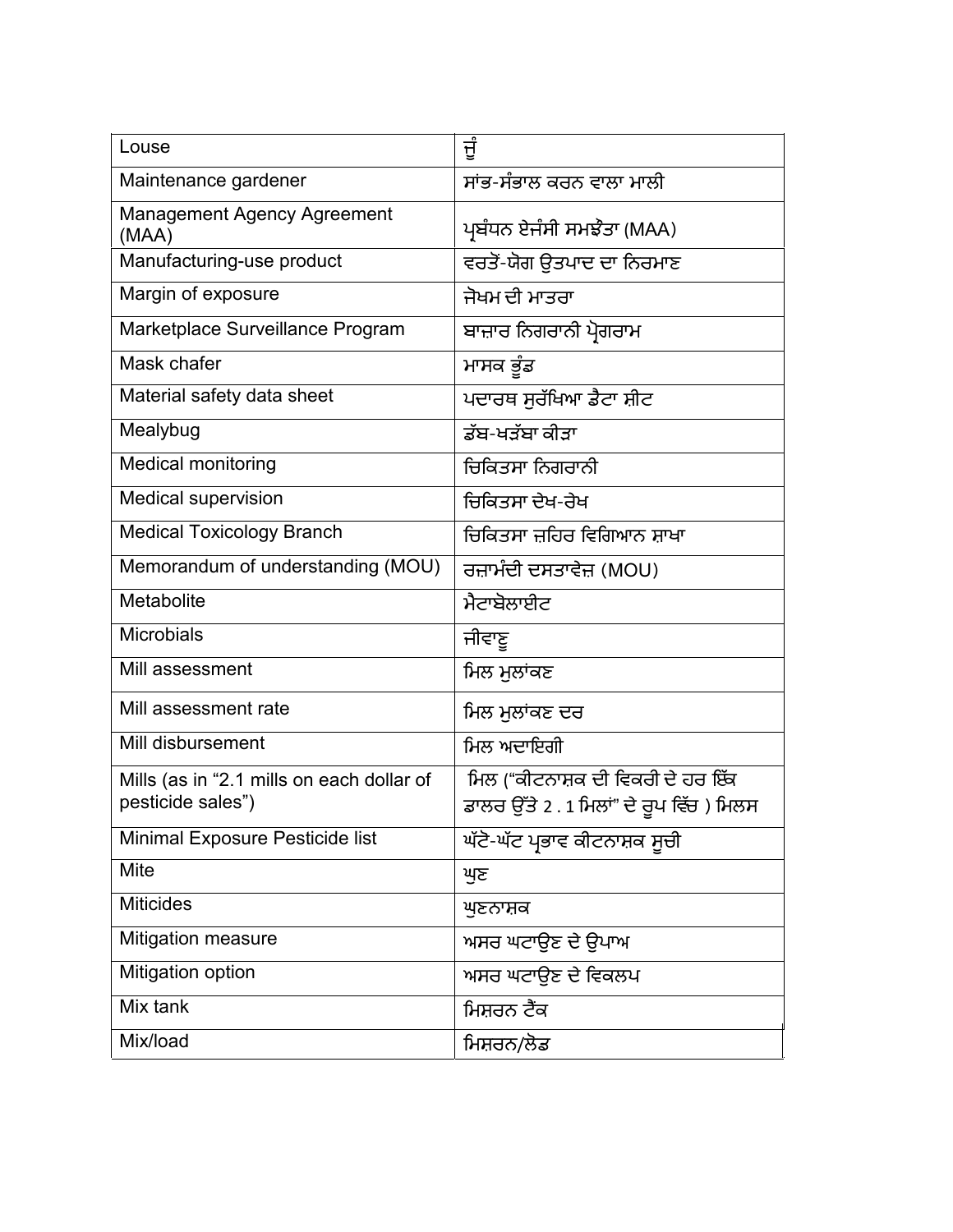| Louse                                                          | ਜੂੰ                                                                            |
|----------------------------------------------------------------|--------------------------------------------------------------------------------|
| Maintenance gardener                                           | ਸਾਂਭ-ਸੰਭਾਲ ਕਰਨ ਵਾਲਾ ਮਾਲੀ                                                       |
| <b>Management Agency Agreement</b><br>(MAA)                    | ਪ੍ਰਬੰਧਨ ਏਜੰਸੀ ਸਮਝੌਤਾ (MAA)                                                     |
| Manufacturing-use product                                      | ਵਰਤੋਂ-ਯੋਗ ਉਤਪਾਦ ਦਾ ਨਿਰਮਾਣ                                                      |
| Margin of exposure                                             | ਜੋਖਮ ਦੀ ਮਾਤਰਾ                                                                  |
| Marketplace Surveillance Program                               | ਬਾਜ਼ਾਰ ਨਿਗਰਾਨੀ ਪ੍ਰੋਗਰਾਮ                                                        |
| Mask chafer                                                    | ਮਾਸਕ ਭੁੰਡ                                                                      |
| Material safety data sheet                                     | ਪਦਾਰਥ ਸੁਰੱਖਿਆ ਡੈਟਾ ਸ਼ੀਟ                                                        |
| Mealybug                                                       | ਡੱਬ-ਖਤੱਬਾ ਕੀਤਾ                                                                 |
| <b>Medical monitoring</b>                                      | ਚਿਕਿਤਸਾ ਨਿਗਰਾਨੀ                                                                |
| Medical supervision                                            | ਚਿਕਿਤਸਾ ਦੇਖ-ਰੇਖ                                                                |
| <b>Medical Toxicology Branch</b>                               | ਚਿਕਿਤਸਾ ਜ਼ਹਿਰ ਵਿਗਿਆਨ ਸ਼ਾਖਾ                                                     |
| Memorandum of understanding (MOU)                              | ਰਜ਼ਾਮੰਦੀ ਦਸਤਾਵੇਜ਼ (MOU)                                                        |
| Metabolite                                                     | ਮੈਟਾਬੋਲਾਈਟ                                                                     |
| <b>Microbials</b>                                              | ਜੀਵਾਣੂ                                                                         |
| Mill assessment                                                | ਮਿਲ ਮੁਲਾਂਕਣ                                                                    |
| Mill assessment rate                                           | ਮਿਲ ਮੁਲਾਂਕਣ ਦਰ                                                                 |
| Mill disbursement                                              | ਮਿਲ ਅਦਾਇਗੀ                                                                     |
| Mills (as in "2.1 mills on each dollar of<br>pesticide sales") | ਮਿਲ ("ਕੀਟਨਾਸ਼ਕ ਦੀ ਵਿਕਰੀ ਦੇ ਹਰ ਇੱਕ<br>ਡਾਲਰ ਉੱਤੇ 2 . 1 ਮਿਲਾਂ" ਦੇ ਰੂਪ ਵਿੱਚ ) ਮਿਲਸ |
| Minimal Exposure Pesticide list                                | ਘੱਟੋ-ਘੱਟ ਪ੍ਰਭਾਵ ਕੀਟਨਾਸ਼ਕ ਸੂਚੀ                                                  |
| Mite                                                           | ਘੁਣ                                                                            |
| <b>Miticides</b>                                               | ਘੁਣਨਾਸ਼ਕ                                                                       |
| <b>Mitigation measure</b>                                      | ਅਸਰ ਘਟਾਉਣ ਦੇ ਉਪਾਅ                                                              |
| Mitigation option                                              | ਅਸਰ ਘਟਾਉਣ ਦੇ ਵਿਕਲਪ                                                             |
| Mix tank                                                       | ਮਿਸ਼ਰਨ ਟੈਂਕ                                                                    |
| Mix/load                                                       | ਮਿਸ਼ਰਨ/ਲੋਡ                                                                     |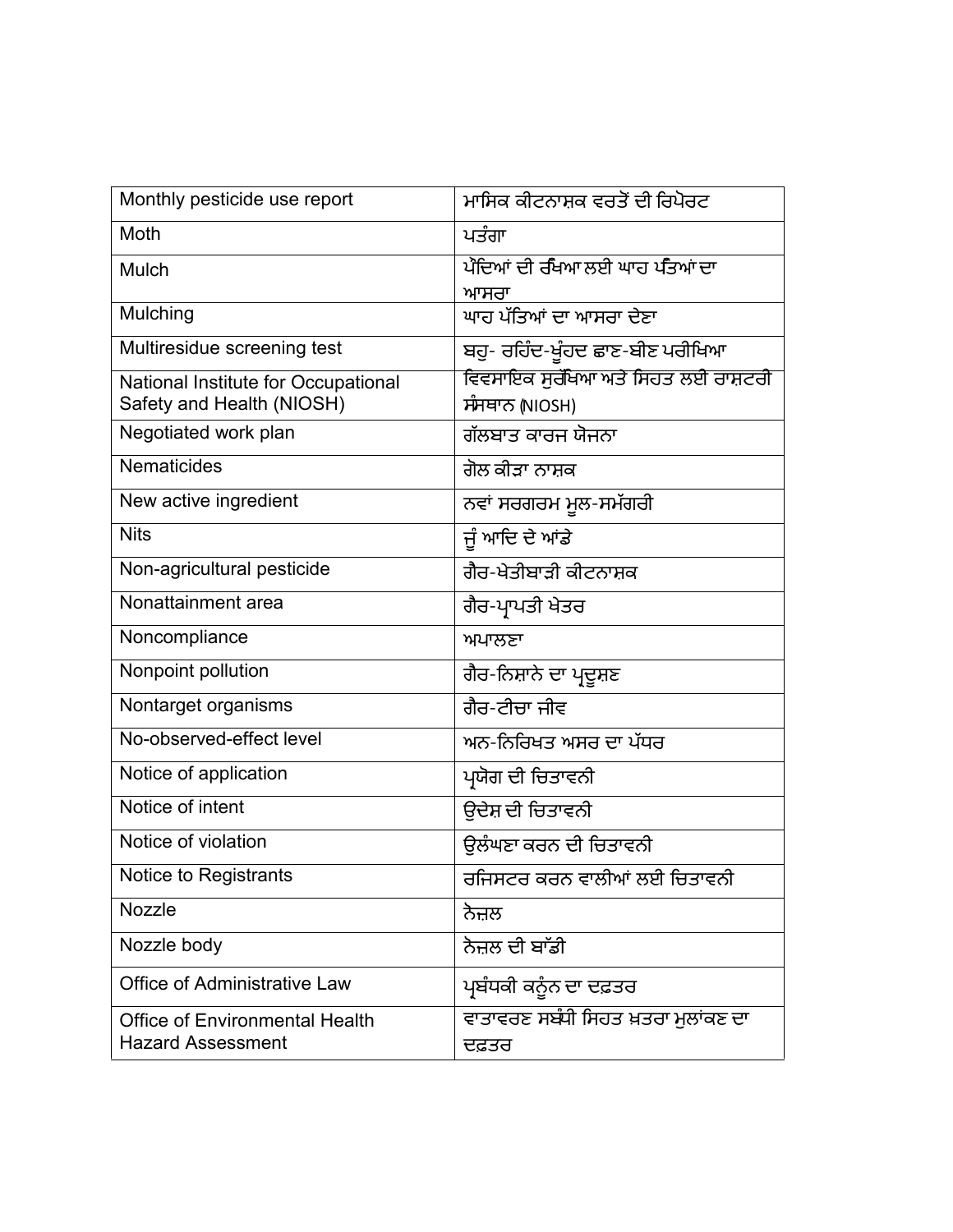| Monthly pesticide use report          | ਮਾਸਿਕ ਕੀਟਨਾਸ਼ਕ ਵਰਤੋਂ ਦੀ ਰਿਪੋਰਟ      |
|---------------------------------------|-------------------------------------|
| Moth                                  | ਪਤੰਗਾ                               |
| Mulch                                 | ਪੌਦਿਆਂ ਦੀ ਰੰਖਆਲਈ ਘਾਹ ਪੰਤਆਂ ਦਾ       |
|                                       | ਆਸਰਾ                                |
| Mulching                              | ਘਾਹ ਪੱਤਿਆਂ ਦਾ ਆਸਰਾ ਦੇਣਾ             |
| Multiresidue screening test           | ਬਹੁ- ਰਹਿੰਦ-ਖੁੰਹਦ ਛਾਣ-ਬੀਣ ਪਰੀਖਿਆ     |
| National Institute for Occupational   | ਵਿਵਸਾਇਕ ਸੁਰੱਖਿਆ ਅਤੇ ਸਿਹਤ ਲਈ ਰਾਸ਼ਟਰੀ |
| Safety and Health (NIOSH)             | ਸੰਸਥਾਨ (NIOSH)                      |
| Negotiated work plan                  | ਗੱਲਬਾਤ ਕਾਰਜ ਯੋਜਨਾ                   |
| <b>Nematicides</b>                    | ਗੋਲ ਕੀਤਾ ਨਾਸ਼ਕ                      |
| New active ingredient                 | ਨਵਾਂ ਸਰਗਰਮ ਮੂਲ-ਸਮੱਗਰੀ               |
| <b>Nits</b>                           | ਜੂੰ ਆਦਿ ਦੇ ਆਂਡੇ                     |
| Non-agricultural pesticide            | ਗੈਰ-ਖੇਤੀਬਾੜੀ ਕੀਟਨਾਸ਼ਕ               |
| Nonattainment area                    | ਗੈਰ-ਪ੍ਰਾਪਤੀ ਖੇਤਰ                    |
| Noncompliance                         | ਅਪਾਲਣਾ                              |
| Nonpoint pollution                    | ਗੈਰ-ਨਿਸ਼ਾਨੇ ਦਾ ਪ੍ਰਦੁਸ਼ਣ             |
| Nontarget organisms                   | ਗੈਰ-ਟੀਚਾ ਜੀਵ                        |
| No-observed-effect level              | ਅਨ-ਨਿਰਿਖਤ ਅਸਰ ਦਾ ਪੱਧਰ               |
| Notice of application                 | ਪ੍ਰਯੋਗ ਦੀ ਚਿਤਾਵਨੀ                   |
| Notice of intent                      | ਉਦੇਸ਼ ਦੀ ਚਿਤਾਵਨੀ                    |
| Notice of violation                   | ਉਲੰਘਣਾ ਕਰਨ ਦੀ ਚਿਤਾਵਨੀ               |
| Notice to Registrants                 | ਰਜਿਸਟਰ ਕਰਨ ਵਾਲੀਆਂ ਲਈ ਚਿਤਾਵਨੀ        |
| Nozzle                                | ਨੇਜ਼ਲ                               |
| Nozzle body                           | ਨੇਜ਼ਲ ਦੀ ਬਾੱਡੀ                      |
| <b>Office of Administrative Law</b>   | ਪ੍ਰਬੰਧਕੀ ਕਨੂੰਨ ਦਾ ਦਫ਼ਤਰ             |
| <b>Office of Environmental Health</b> | ਵਾਤਾਵਰਣ ਸਬੰਧੀ ਸਿਹਤ ਖ਼ਤਰਾ ਮੁਲਾਂਕਣ ਦਾ |
| <b>Hazard Assessment</b>              | ਦਫ਼ਤਰ                               |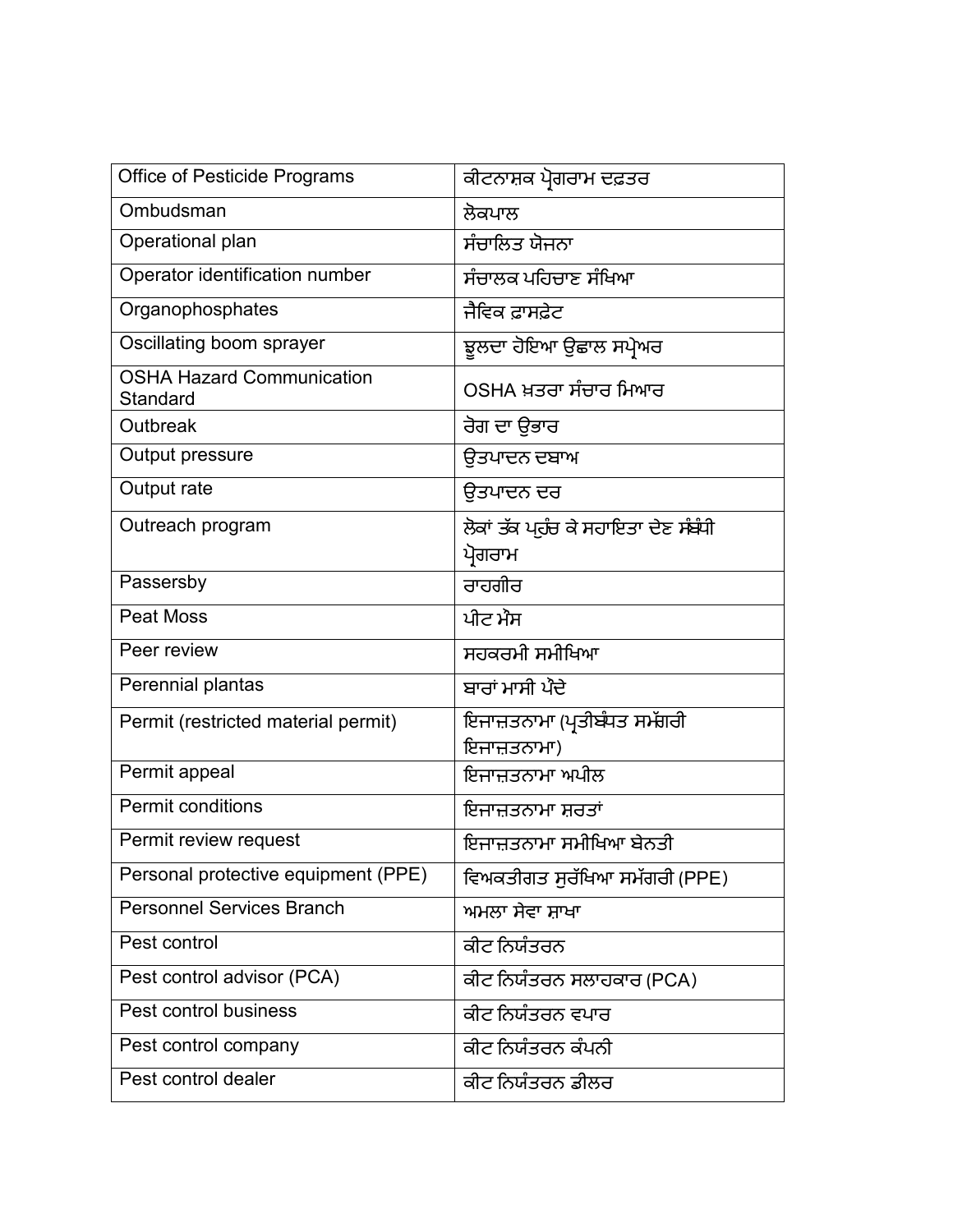| <b>Office of Pesticide Programs</b>          | ਕੀਟਨਾਸ਼ਕ ਪ੍ਰੋਗਰਾਮ ਦਫ਼ਤਰ                        |
|----------------------------------------------|------------------------------------------------|
| Ombudsman                                    | ਲੋਕਪਾਲ                                         |
| Operational plan                             | ਸੰਚਾਲਿਤ ਯੋਜਨਾ                                  |
| Operator identification number               | ਸੰਚਾਲਕ ਪਹਿਚਾਣ ਸੰਖਿਆ                            |
| Organophosphates                             | ਜੈਵਿਕ ਫਾਸਫੇਟ                                   |
| Oscillating boom sprayer                     | ਝੂਲਦਾ ਹੋਇਆ ਉਛਾਲ ਸਪ੍ਰੇਅਰ                        |
| <b>OSHA Hazard Communication</b><br>Standard | OSHA ਖ਼ਤਰਾ ਸੰਚਾਰ ਮਿਆਰ                          |
| Outbreak                                     | ਰੋਗ ਦਾ ਉਭਾਰ                                    |
| Output pressure                              | ਉਤਪਾਦਨ ਦਬਾਅ                                    |
| Output rate                                  | ਉਤਪਾਦਨ ਦਰ                                      |
| Outreach program                             | ਲੋਕਾਂ ਤੱਕ ਪਹੁੰਚ ਕੇ ਸਹਾਇਤਾ ਦੇਣ ਸੰਬੰਧੀ<br>ਪੋਗਰਾਮ |
| Passersby                                    | ਰਾਹਗੀਰ                                         |
| <b>Peat Moss</b>                             | ਪੀਟ ਮੌਸ                                        |
| Peer review                                  | ਸਹਕਰਮੀ ਸਮੀਖਿਆ                                  |
| Perennial plantas                            | ਬਾਰਾਂ ਮਾਸੀ ਪੰਦੇ                                |
| Permit (restricted material permit)          | ਇਜਾਜ਼ਤਨਾਮਾ (ਪ੍ਰਤੀਬੰਧਤ ਸਮੱਗਰੀ<br>ਇਜਾਜ਼ਤਨਾਮਾ)    |
| Permit appeal                                | ਇਜਾਜ਼ਤਨਾਮਾ ਅਪੀਲ                                |
| Permit conditions                            | ਇਜਾਜ਼ਤਨਾਮਾ ਸ਼ਰਤਾਂ                              |
| Permit review request                        | ਇਜਾਜ਼ਤਨਾਮਾ ਸਮੀਖਿਆ ਬੇਨਤੀ                        |
| Personal protective equipment (PPE)          | ਵਿਅਕਤੀਗਤ ਸੁਰੱਖਿਆ ਸਮੱਗਰੀ (PPE)                  |
| <b>Personnel Services Branch</b>             | ਅਮਲਾ ਸੇਵਾ ਸ਼ਾਖਾ                                |
| Pest control                                 | ਕੀਟ ਨਿਯੰਤਰਨ                                    |
| Pest control advisor (PCA)                   | ਕੀਟ ਨਿਯੰਤਰਨ ਸਲਾਹਕਾਰ (PCA)                      |
| Pest control business                        | ਕੀਟ ਨਿਯੰਤਰਨ ਵਪਾਰ                               |
| Pest control company                         | ਕੀਟ ਨਿਯੰਤਰਨ ਕੰਪਨੀ                              |
| Pest control dealer                          | ਕੀਟ ਨਿਯੰਤਰਨ ਡੀਲਰ                               |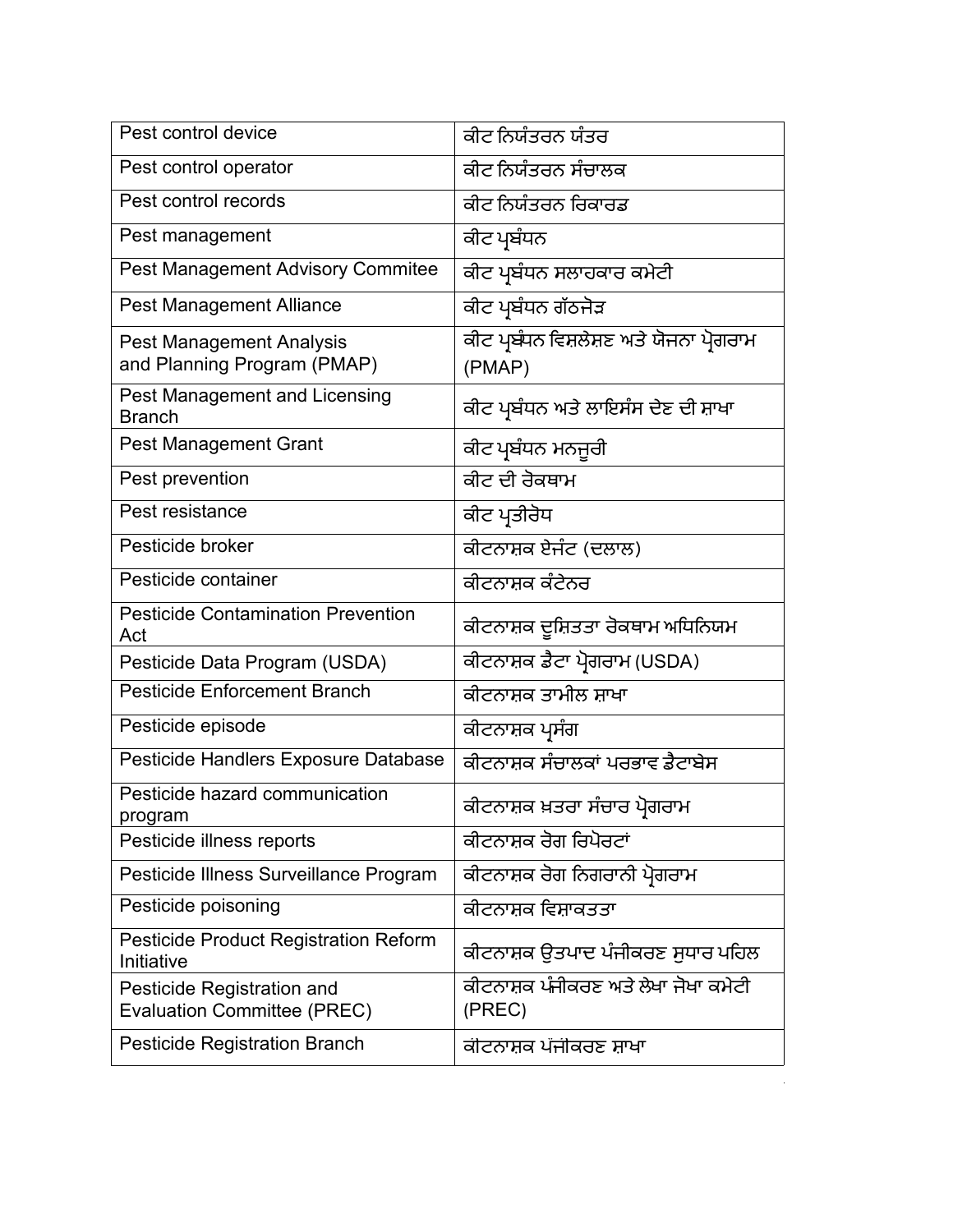| Pest control device                                              | ਕੀਟ ਨਿਯੰਤਰਨ ਯੰਤਰ                                   |
|------------------------------------------------------------------|----------------------------------------------------|
| Pest control operator                                            | ਕੀਟ ਨਿਯੰਤਰਨ ਸੰਚਾਲਕ                                 |
| Pest control records                                             | ਕੀਟ ਨਿਯੰਤਰਨ ਰਿਕਾਰਡ                                 |
| Pest management                                                  | ਕੀਟ ਪ੍ਰਬੰਧਨ                                        |
| Pest Management Advisory Commitee                                | _____<br>ਕੀਟ ਪ੍ਰਬੰਧਨ ਸਲਾਹਕਾਰ ਕਮੇਟੀ                 |
| <b>Pest Management Alliance</b>                                  | ਕੀਟ ਪ੍ਰਬੰਧਨ ਗੱਠਜੋੜ                                 |
| <b>Pest Management Analysis</b><br>and Planning Program (PMAP)   | ਕੀਟ ਪ੍ਰਬੰਧਨ ਵਿਸ਼ਲੇਸ਼ਣ ਅਤੇ ਯੋਜਨਾ ਪ੍ਰੋਗਰਾਮ<br>(PMAP) |
| <b>Pest Management and Licensing</b><br><b>Branch</b>            | ਕੀਟ ਪ੍ਰਬੰਧਨ ਅਤੇ ਲਾਇਸੰਸ ਦੇਣ ਦੀ ਸ਼ਾਖਾ                |
| <b>Pest Management Grant</b>                                     | ਕੀਟ ਪ੍ਰਬੰਧਨ ਮਨਜੁਰੀ                                 |
| Pest prevention                                                  | ਕੀਟ ਦੀ ਰੋਕਥਾਮ                                      |
| Pest resistance                                                  | ਕੀਟ ਪ੍ਰਤੀਰੋਧ                                       |
| Pesticide broker                                                 | ਕੀਟਨਾਸ਼ਕ ਏਜੰਟ (ਦਲਾਲ)                               |
| Pesticide container                                              | ਕੀਟਨਾਸ਼ਕ ਕੰਟੇਨਰ                                    |
| <b>Pesticide Contamination Prevention</b><br>Act                 | ਕੀਟਨਾਸ਼ਕ ਦੁਸ਼ਿਤਤਾ ਰੋਕਥਾਮ ਅਧਿਨਿਯਮ                   |
| Pesticide Data Program (USDA)                                    | ਕੀਟਨਾਸ਼ਕ ਡੈਟਾ ਪ੍ਰੋਗਰਾਮ (USDA)                      |
| <b>Pesticide Enforcement Branch</b>                              | ਕੀਟਨਾਸ਼ਕ ਤਾਮੀਲ ਸ਼ਾਖਾ                               |
| Pesticide episode                                                | ਕੀਟਨਾਸ਼ਕ ਪ੍ਰਸੰਗ                                    |
| Pesticide Handlers Exposure Database                             | ਕੀਟਨਾਸ਼ਕ ਸੰਚਾਲਕਾਂ ਪਰਭਾਵ ਡੈਟਾਬੇਸ                    |
| Pesticide hazard communication<br>program                        | ਕੀਟਨਾਸ਼ਕ ਖ਼ਤਰਾ ਸੰਚਾਰ ਪੋਗਰਾਮ                        |
| Pesticide illness reports                                        | ਕੀਟਨਾਸ਼ਕ ਰੋਗ ਰਿਪੋਰਟਾਂ                              |
| Pesticide Illness Surveillance Program                           | ਕੀਟਨਾਸ਼ਕ ਰੋਗ ਨਿਗਰਾਨੀ ਪ੍ਰੋਗਰਾਮ                      |
| Pesticide poisoning                                              | ਕੀਟਨਾਸ਼ਕ ਵਿਸ਼ਾਕਤਤਾ                                 |
|                                                                  |                                                    |
| <b>Pesticide Product Registration Reform</b><br>Initiative       | ਕੀਟਨਾਸ਼ਕ ਉਤਪਾਦ ਪੰਜੀਕਰਣ ਸੁਧਾਰ ਪਹਿਲ                  |
| Pesticide Registration and<br><b>Evaluation Committee (PREC)</b> | ਕੀਟਨਾਸ਼ਕ ਪੰਜੀਕਰਣ ਅਤੇ ਲੇਖਾ ਜੋਖਾ ਕਮੇਟੀ<br>(PREC)     |
| <b>Pesticide Registration Branch</b>                             | ਕੀਟਨਾਸ਼ਕ ਪੰਜੀਕਰਣ ਸ਼ਾਖਾ                             |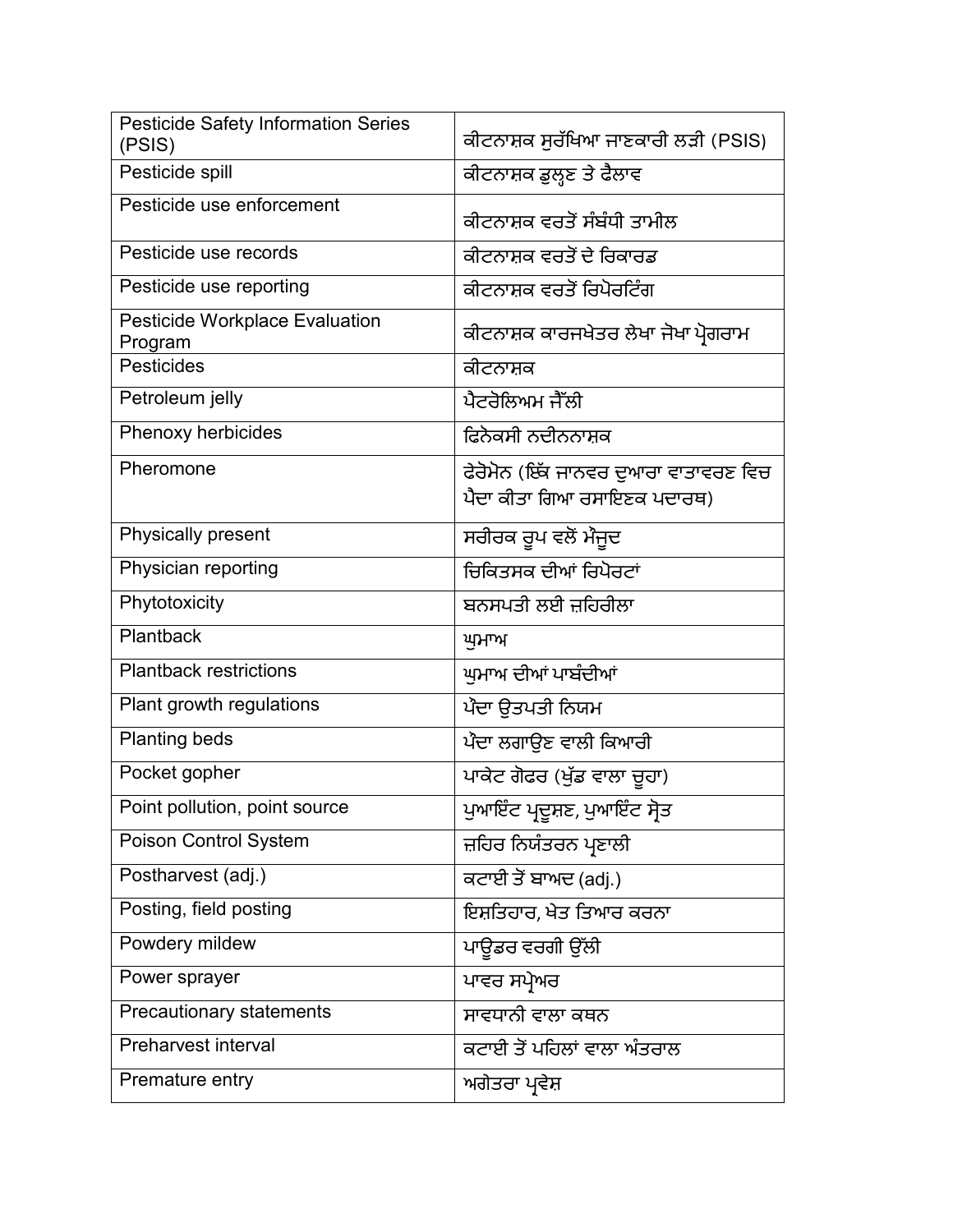| <b>Pesticide Safety Information Series</b><br>(PSIS) | ਕੀਟਨਾਸ਼ਕ ਸੁਰੱਖਿਆ ਜਾਣਕਾਰੀ ਲੜੀ (PSIS)                                 |
|------------------------------------------------------|---------------------------------------------------------------------|
| Pesticide spill                                      | ਕੀਟਨਾਸ਼ਕ ਡੁਲ੍ਹਣ ਤੇ ਫੈਲਾਵ                                            |
| Pesticide use enforcement                            | ਕੀਟਨਾਸ਼ਕ ਵਰਤੋਂ ਸੰਬੰਧੀ ਤਾਮੀਲ                                         |
| Pesticide use records                                | ਕੀਟਨਾਸ਼ਕ ਵਰਤੋਂ ਦੇ ਰਿਕਾਰਡ                                            |
| Pesticide use reporting                              | ਕੀਟਨਾਸ਼ਕ ਵਰਤੋਂ ਰਿਪੋਰਟਿੰਗ                                            |
| <b>Pesticide Workplace Evaluation</b><br>Program     | ਕੀਟਨਾਸ਼ਕ ਕਾਰਜਖੇਤਰ ਲੇਖਾ ਜੋਖਾ ਪ੍ਰੋਗਰਾਮ                                |
| Pesticides                                           | ਕੀਟਨਾਸ਼ਕ                                                            |
| Petroleum jelly                                      | ਪੈਟਰੋਲਿਅਮ ਜੈੱਲੀ                                                     |
| Phenoxy herbicides                                   | ਫਿਨੇਕਸੀ ਨਦੀਨਨਾਸ਼ਕ                                                   |
| Pheromone                                            | ਫੇਰੋਮੋਨ (ਇੱਕ ਜਾਨਵਰ ਦੁਆਰਾ ਵਾਤਾਵਰਣ ਵਿਚ<br>ਪੈਦਾ ਕੀਤਾ ਗਿਆ ਰਸਾਇਣਕ ਪਦਾਰਥ) |
| Physically present                                   | ਸਰੀਰਕ ਰੂਪ ਵਲੋਂ ਮੌਜੂਦ                                                |
| Physician reporting                                  | ਚਿਕਿਤਸਕ ਦੀਆਂ ਰਿਪੋਰਟਾਂ                                               |
| Phytotoxicity                                        | ਬਨਸਪਤੀ ਲਈ ਜ਼ਹਿਰੀਲਾ                                                  |
| Plantback                                            | ਘੁਮਾਅ                                                               |
| <b>Plantback restrictions</b>                        | ਘੁਮਾਅ ਦੀਆਂ ਪਾਬੰਦੀਆਂ                                                 |
| Plant growth regulations                             | ਪੰਦਾ ਉਤਪਤੀ ਨਿਯਮ                                                     |
| <b>Planting beds</b>                                 | ਪੰਦਾ ਲਗਾਉਣ ਵਾਲੀ ਕਿਆਰੀ                                               |
| Pocket gopher                                        | ਪਾਕੇਟ ਗੋਫਰ (ਖੁੱਡ ਵਾਲਾ ਚੂਹਾ)                                         |
| Point pollution, point source                        | ਪੁਆਇੰਟ ਪ੍ਰਦੂਸ਼ਣ, ਪੁਆਇੰਟ ਸ੍ਰੋਤ                                       |
| Poison Control System                                | ਜ਼ਹਿਰ ਨਿਯੰਤਰਨ ਪ੍ਰਣਾਲੀ                                               |
| Postharvest (adj.)                                   | ਕਟਾਈ ਤੋਂ ਬਾਅਦ (adj.)                                                |
| Posting, field posting                               | ਇਸ਼ਤਿਹਾਰ, ਖੇਤ ਤਿਆਰ ਕਰਨਾ                                             |
| Powdery mildew                                       | ਪਾਉਡਰ ਵਰਗੀ ਉੱਲੀ                                                     |
| Power sprayer                                        | ਪਾਵਰ ਸਪ੍ਰੇਅਰ                                                        |
| Precautionary statements                             | ਸਾਵਧਾਨੀ ਵਾਲਾ ਕਥਨ                                                    |
| <b>Preharvest interval</b>                           | ਕਟਾਈ ਤੋਂ ਪਹਿਲਾਂ ਵਾਲਾ ਅੰਤਰਾਲ                                         |
| Premature entry                                      | ਅਗੇਤਰਾ ਪ੍ਰਵੇਸ਼                                                      |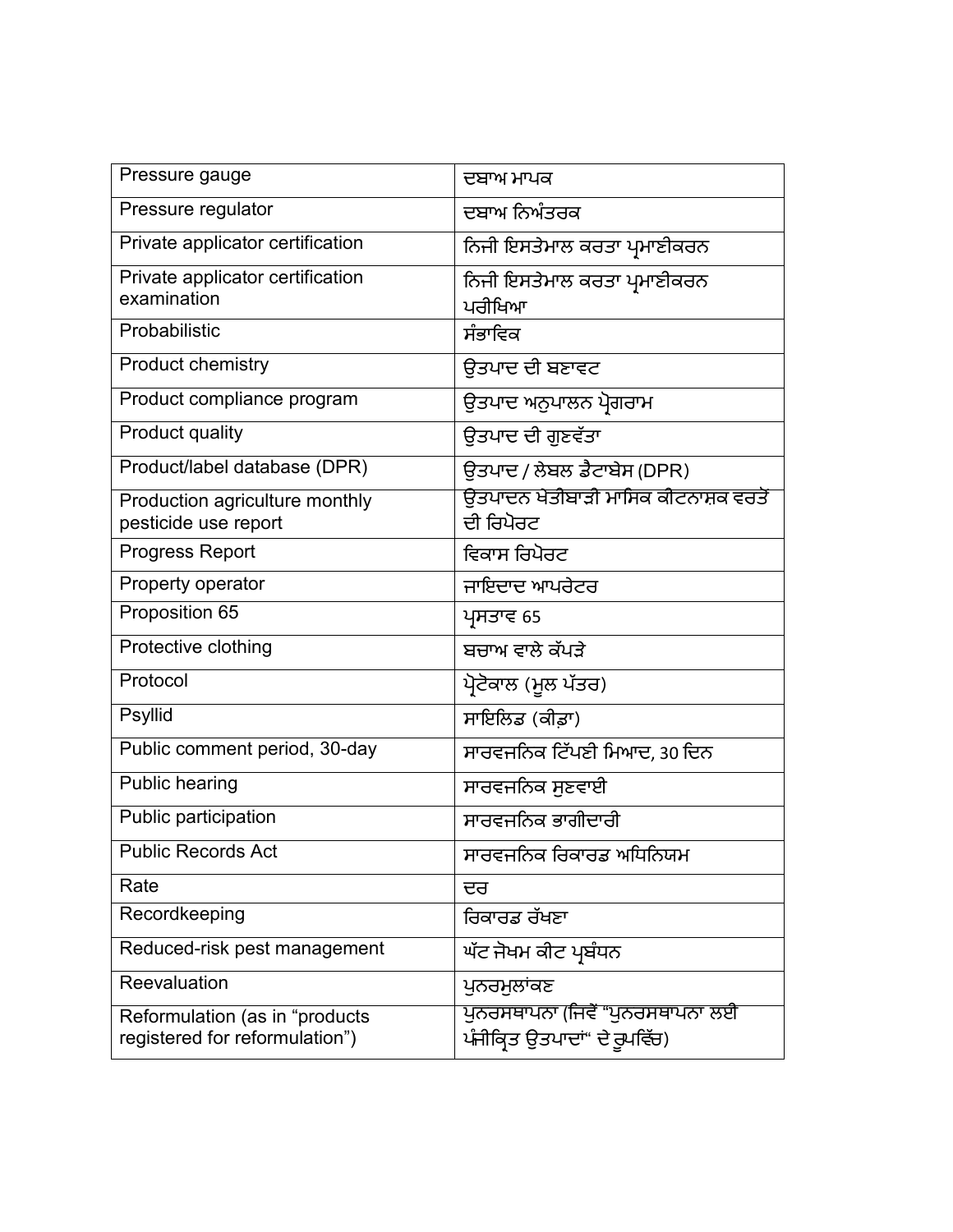| Pressure gauge                                                   | ਦਬਾਅ ਮਾਪਕ                                                        |
|------------------------------------------------------------------|------------------------------------------------------------------|
| Pressure regulator                                               | ਦਬਾਅ ਨਿਅੰਤਰਕ                                                     |
| Private applicator certification                                 | ਨਿਜੀ ਇਸਤੇਮਾਲ ਕਰਤਾ ਪ੍ਰਮਾਣੀਕਰਨ                                     |
| Private applicator certification<br>examination                  | ਨਿਜੀ ਇਸਤੇਮਾਲ ਕਰਤਾ ਪ੍ਰਮਾਈਕਰਨ<br>ਪਰੀਖਿਆ                            |
| Probabilistic                                                    | ਸੰਭਾਵਿਕ                                                          |
| Product chemistry                                                | ਉਤਪਾਦ ਦੀ ਬਣਾਵਟ                                                   |
| Product compliance program                                       | ਉਤਪਾਦ ਅਨੁਪਾਲਨ ਪ੍ਰੋਗਰਾਮ                                           |
| Product quality                                                  | ਉਤਪਾਦ ਦੀ ਗੁਣਵੱਤਾ                                                 |
| Product/label database (DPR)                                     | ਉਤਪਾਦ / ਲੇਬਲ ਡੈਟਾਬੇਸ (DPR)                                       |
| Production agriculture monthly<br>pesticide use report           | ਓਤਪਾਦਨ ਖੇਤੀਬਾੜੀ ਮਾਸਿਕ ਕੀਟਨਾਸ਼ਕ ਵਰਤੋਂ<br>ਦੀ ਰਿਪੋਰਟ                |
| <b>Progress Report</b>                                           | ਵਿਕਾਸ ਰਿਪੋਰਟ                                                     |
| Property operator                                                | ਜਾਇਦਾਦ ਆਪਰੇਟਰ                                                    |
| Proposition 65                                                   | ਪ੍ਰਸਤਾਵ 65                                                       |
| Protective clothing                                              | ਬਚਾਅ ਵਾਲੇ ਕੱਪਤੇ                                                  |
| Protocol                                                         | ਪ੍ਰੋਟੋਕਾਲ (ਮੂਲ ਪੱਤਰ)                                             |
| Psyllid                                                          | ਸਾਇਲਿਡ (ਕੀਡ਼ਾ)                                                   |
| Public comment period, 30-day                                    | ਸਾਰਵਜਨਿਕ ਟਿੱਪਣੀ ਮਿਆਦ, 30 ਦਿਨ                                     |
| <b>Public hearing</b>                                            | ਸਾਰਵਜਨਿਕ ਸੁਣਵਾਈ                                                  |
| Public participation                                             | ਸਾਰਵਜਨਿਕ ਭਾਗੀਦਾਰੀ                                                |
| <b>Public Records Act</b>                                        | ਸਾਰਵਜਨਿਕ ਰਿਕਾਰਡ ਅਧਿਨਿਯਮ                                          |
| Rate                                                             | ਦਰ                                                               |
| Recordkeeping                                                    | ਰਿਕਾਰਡ ਰੱਖਣਾ                                                     |
| Reduced-risk pest management                                     | ਘੱਟ ਜੋਖਮ ਕੀਟ ਪ੍ਰਬੰਧਨ                                             |
| Reevaluation                                                     | ਪੁਨਰਮੁਲਾਂਕਣ                                                      |
| Reformulation (as in "products<br>registered for reformulation") | ਪਨਰਸਥਾਪਨਾ (ਜਿਵੇਂ "ਪਨਰਸਥਾਪਨਾ ਲਈ<br>ਪੰਜੀਕ੍ਰਿਤ ਉਤਪਾਦਾਂ" ਦੇ ਰੂਪਵਿੱਚ) |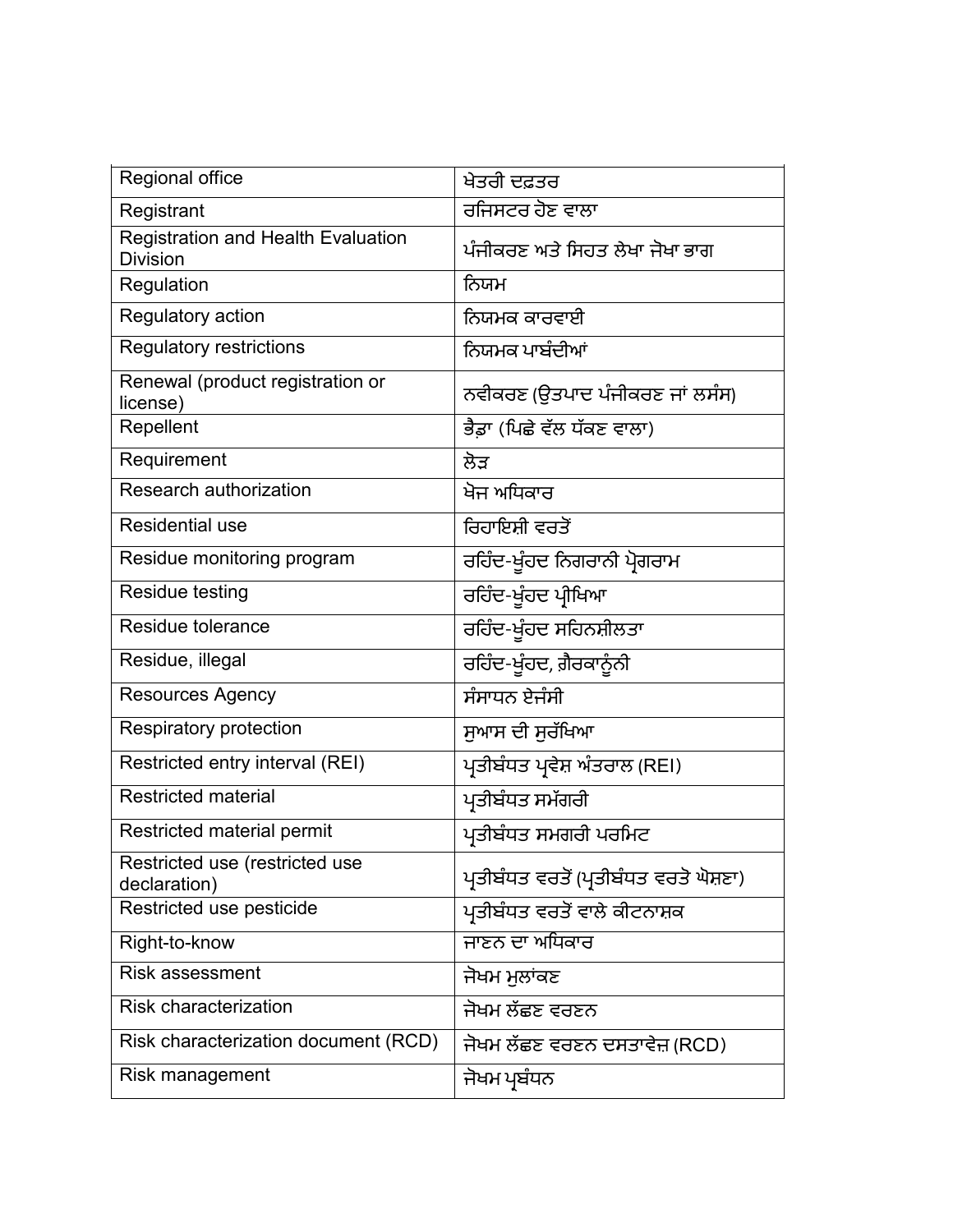| Regional office                                              | ਖੇਤਰੀ ਦਫ਼ਤਰ                             |
|--------------------------------------------------------------|-----------------------------------------|
| Registrant                                                   | ਰਜਿਸਟਰ ਹੋਣ ਵਾਲਾ                         |
| <b>Registration and Health Evaluation</b><br><b>Division</b> | ਪੰਜੀਕਰਣ ਅਤੇ ਸਿਹਤ ਲੇਖਾ ਜੋਖਾ ਭਾਗ          |
| Regulation                                                   | ਨਿਯਮ                                    |
| Regulatory action                                            | ਨਿਯਮਕ ਕਾਰਵਾਈ                            |
| <b>Regulatory restrictions</b>                               | ਨਿਯਮਕ ਪਾਬੰਦੀਆਂ                          |
| Renewal (product registration or<br>license)                 | ਨਵੀਕਰਣ (ਉਤਪਾਦ ਪੰਜੀਕਰਣ ਜਾਂ ਲਸੰਸ)         |
| Repellent                                                    | ਭੈਡਾ (ਪਿਛੇ ਵੱਲ ਧੱਕਣ ਵਾਲਾ)               |
| Requirement                                                  | ਲੋੜ                                     |
| Research authorization                                       | ਖੋਜ ਅਧਿਕਾਰ                              |
| <b>Residential use</b>                                       | ਰਿਹਾਇਸ਼ੀ ਵਰਤੋਂ                          |
| Residue monitoring program                                   | ਰਹਿੰਦ-ਖੁੰਹਦ ਨਿਗਰਾਨੀ ਪ੍ਰੋਗਰਾਮ            |
| <b>Residue testing</b>                                       | ਰਹਿੰਦ-ਖੁੰਹਦ ਪ੍ਰੀਖਿਆ                     |
| Residue tolerance                                            | ਰਹਿੰਦ-ਖੁੰਹਦ ਸਹਿਨਸ਼ੀਲਤਾ                  |
| Residue, illegal                                             | ਰਹਿੰਦ-ਖੁੰਹਦ, ਗ਼ੈਰਕਾਨੂੰਨੀ                |
| <b>Resources Agency</b>                                      | ਸੰਸਾਧਨ ਏਜੰਸੀ                            |
| <b>Respiratory protection</b>                                | ਸੁਆਸ ਦੀ ਸੁਰੱਖਿਆ                         |
| Restricted entry interval (REI)                              | ਪ੍ਰਤੀਬੰਧਤ ਪ੍ਰਵੇਸ਼ ਅੰਤਰਾਲ (REI)          |
| <b>Restricted material</b>                                   | ਪ੍ਰਤੀਬੰਧਤ ਸਮੱਗਰੀ                        |
| Restricted material permit                                   | ਪ੍ਰਤੀਬੰਧਤ ਸਮਗਰੀ ਪਰਮਿਟ                   |
| Restricted use (restricted use<br>declaration)               | ਪ੍ਰਤੀਬੰਧਤ ਵਰਤੋਂ (ਪ੍ਰਤੀਬੰਧਤ ਵਰਤੋ ਘੋਸ਼ਣਾ) |
| Restricted use pesticide                                     | ਪ੍ਰਤੀਬੰਧਤ ਵਰਤੋਂ ਵਾਲੇ ਕੀਟਨਾਸ਼ਕ           |
| Right-to-know                                                | ਜਾਣਨ ਦਾ ਅਧਿਕਾਰ                          |
| <b>Risk assessment</b>                                       | ਜੋਖਮ ਮੁਲਾਂਕਣ                            |
| <b>Risk characterization</b>                                 | ਜੋਖਮ ਲੱਛਣ ਵਰਣਨ                          |
| Risk characterization document (RCD)                         | ਜੋਖਮ ਲੱਛਣ ਵਰਣਨ ਦਸਤਾਵੇਜ਼ (RCD)           |
| Risk management                                              | ਜੋਖਮ ਪ੍ਰਬੰਧਨ                            |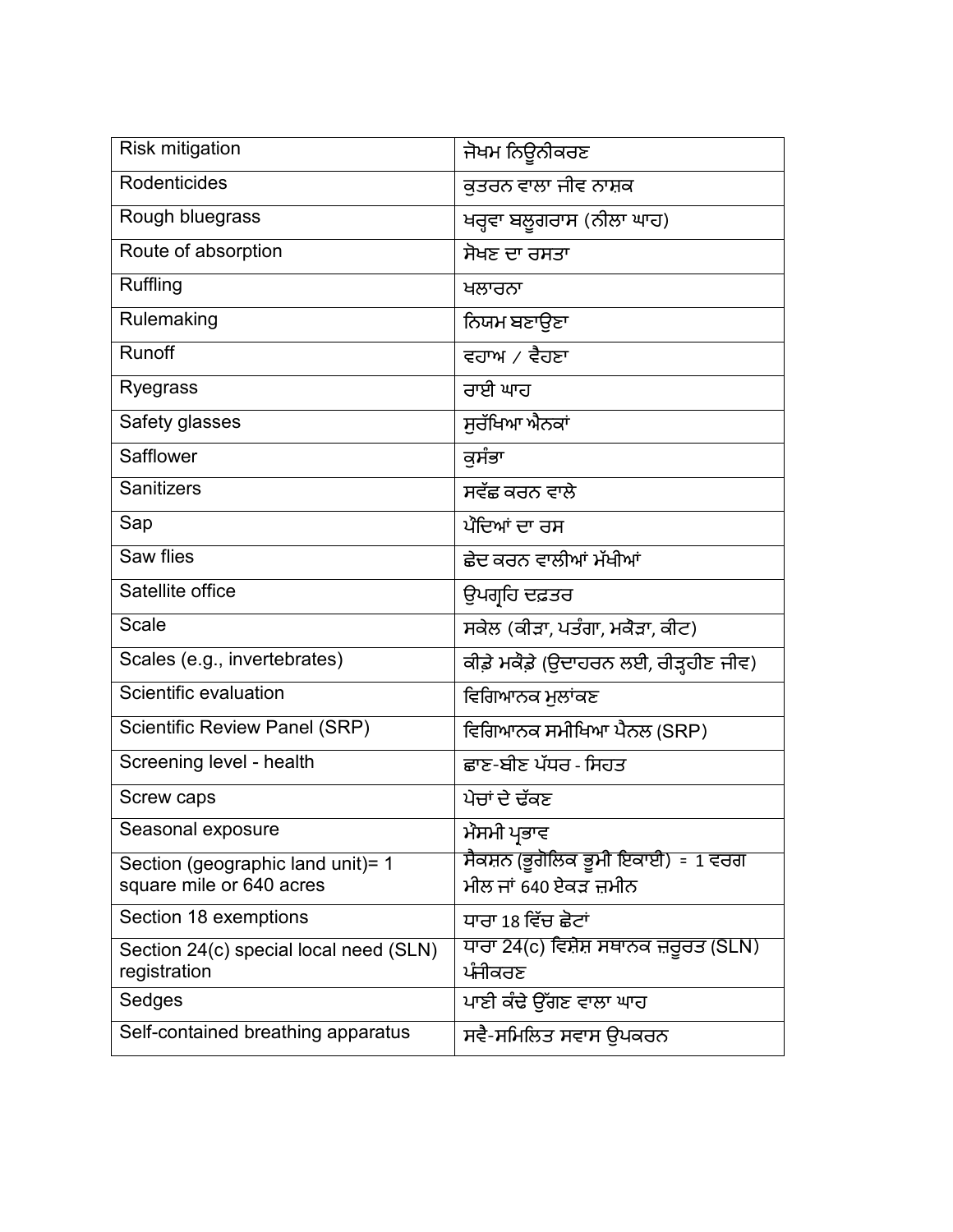| <b>Risk mitigation</b>                                         | ਜੋਖਮ ਨਿਊਨੀਕਰਣ                                               |
|----------------------------------------------------------------|-------------------------------------------------------------|
| Rodenticides                                                   | ਕੁਤਰਨ ਵਾਲਾ ਜੀਵ ਨਾਸ਼ਕ                                        |
| Rough bluegrass                                                | ਖਰ੍ਹਵਾ ਬਲੁਗਰਾਸ (ਨੀਲਾ ਘਾਹ)                                   |
| Route of absorption                                            | ਸੋਖਣ ਦਾ ਰਸਤਾ                                                |
| Ruffling                                                       | ਖਲਾਰਨਾ                                                      |
| Rulemaking                                                     | ਨਿਯਮ ਬਣਾਉਣਾ                                                 |
| Runoff                                                         | ਵਹਾਅ ⁄ ਵੈਹਣਾ                                                |
| Ryegrass                                                       | ਰਾਈ ਘਾਹ                                                     |
| Safety glasses                                                 | ਸਰੱਖਿਆ ਐਨਕਾਂ                                                |
| Safflower                                                      | ਕਸੰਭਾ                                                       |
| <b>Sanitizers</b>                                              | ਸਵੱਛ ਕਰਨ ਵਾਲੇ                                               |
| Sap                                                            | ਪੌਦਿਆਂ ਦਾ ਰਸ                                                |
| Saw flies                                                      | ਛੇਦ ਕਰਨ ਵਾਲੀਆਂ ਮੱਖੀਆਂ                                       |
| Satellite office                                               | ਉਪਗ੍ਰਹਿ ਦਫ਼ਤਰ                                               |
| <b>Scale</b>                                                   | ਸਕੇਲ (ਕੀੜਾ, ਪਤੰਗਾ, ਮਕੋੜਾ, ਕੀਟ)                              |
| Scales (e.g., invertebrates)                                   | ਕੀਡ਼ੇ ਮਕੈਡ਼ੇ (ਉਦਾਹਰਨ ਲਈ, ਰੀੜ੍ਹਹੀਣ ਜੀਵ)                      |
| Scientific evaluation                                          | ਵਿਗਿਆਨਕ ਮੁਲਾਂਕਣ                                             |
| <b>Scientific Review Panel (SRP)</b>                           | ਵਿਗਿਆਨਕ ਸਮੀਖਿਆ ਪੈਨਲ (SRP)                                   |
| Screening level - health                                       | ਛਾਣ-ਬੀਣ ਪੱਧਰ - ਸਿਹਤ                                         |
| Screw caps                                                     | ਪੇਚਾਂ ਦੇ ਢੱਕਣ                                               |
| Seasonal exposure                                              | ਮੌਸਮੀ ਪ੍ਰਭਾਵ                                                |
| Section (geographic land unit) = 1<br>square mile or 640 acres | ਸੈਕਸ਼ਨ (ਭੂਗੋਲਿਕ ਭੂਮੀ ਇਕਾਈ) = 1 ਵਰਗ<br>ਮੀਲ ਜਾਂ 640 ਏਕੜ ਜ਼ਮੀਨ |
| Section 18 exemptions                                          |                                                             |
|                                                                | ਧਾਰਾ 18 ਵਿੱਚ ਛੋਟਾਂ                                          |
| Section 24(c) special local need (SLN)<br>registration         | <u>ਧਾਰਾ 24(c) ਵਿਸ਼ੇਸ਼ ਸਥਾਨਕ ਜ਼ਰੂਰਤ (SLN)</u><br>ਪੰਜੀਕਰਣ     |
| Sedges                                                         | ਪਾਣੀ ਕੰਢੇ ਉੱਗਣ ਵਾਲਾ ਘਾਹ                                     |
| Self-contained breathing apparatus                             | ਸਵੈ-ਸਮਿਲਿਤ ਸਵਾਸ ਉਪਕਰਨ                                       |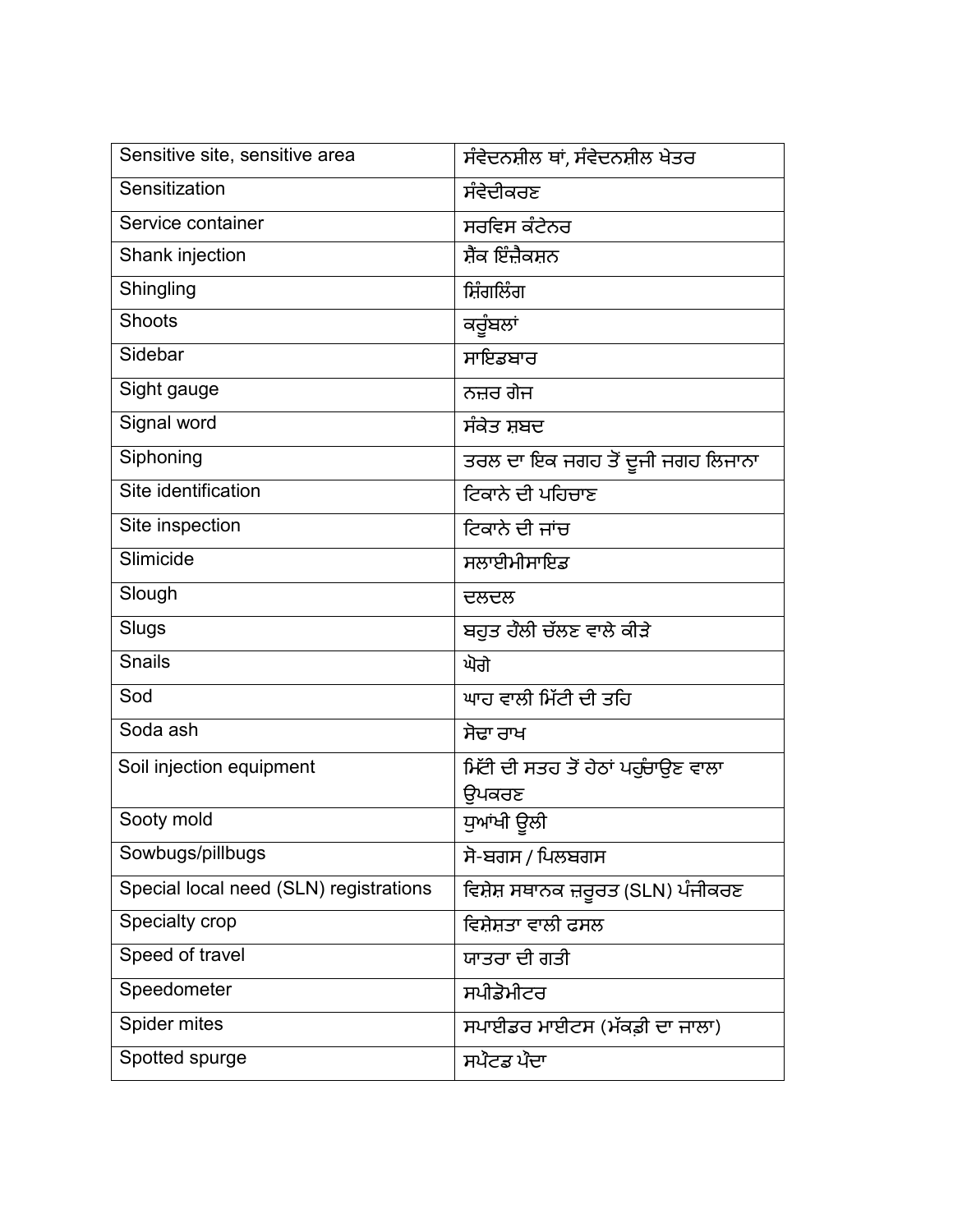| Sensitive site, sensitive area         | ਸੰਵੇਦਨਸ਼ੀਲ ਥਾਂ, ਸੰਵੇਦਨਸ਼ੀਲ ਖੇਤਰ               |
|----------------------------------------|-----------------------------------------------|
| Sensitization                          | ਸੰਵੇਦੀਕਰਣ                                     |
| Service container                      | ਸਰਵਿਸ ਕੰਟੇਨਰ                                  |
| Shank injection                        | ਸ਼ੈਂਕ ਇੰਜ਼ੈਕਸ਼ਨ                               |
| Shingling                              | ਸ਼ਿੰਗਲਿੰਗ                                     |
| <b>Shoots</b>                          | ਕਰੁੰਬਲਾਂ                                      |
| Sidebar                                | ਸਾਇਡਬਾਰ                                       |
| Sight gauge                            | ਨਜ਼ਰ ਗੇਜ                                      |
| Signal word                            | ਸੰਕੇਤ ਸ਼ਬਦ                                    |
| Siphoning                              | ਤਰਲ ਦਾ ਇਕ ਜਗਹ ਤੋਂ ਦੂਜੀ ਜਗਹ ਲਿਜਾਨਾ             |
| Site identification                    | ਟਿਕਾਨੇ ਦੀ ਪਹਿਚਾਣ                              |
| Site inspection                        | ਟਿਕਾਨੇ ਦੀ ਜਾਂਚ                                |
| Slimicide                              | ਸਲਾਈਮੀਸਾਇਡ                                    |
| Slough                                 | ਦਲਦਲ                                          |
| Slugs                                  | ਬਹੁਤ ਹੌਲੀ ਚੱਲਣ ਵਾਲੇ ਕੀੜੇ                      |
| <b>Snails</b>                          | ਘੋਗੇ                                          |
| Sod                                    | ਘਾਹ ਵਾਲੀ ਮਿੱਟੀ ਦੀ ਤਹਿ                         |
| Soda ash                               | ਸੋਢਾ ਰਾਖ                                      |
| Soil injection equipment               | ਮਿੱਟੀ ਦੀ ਸਤਹ ਤੋਂ ਹੇਠਾਂ ਪਹੁੰਚਾਉਣ ਵਾਲਾ<br>ੳਪਕਰਣ |
| Sooty mold                             | ਧੁਆਂਖੀ ਉਲੀ                                    |
| Sowbugs/pillbugs                       | ਸੋ-ਬਗਸ / ਪਿਲਬਗਸ                               |
| Special local need (SLN) registrations | ਵਿਸ਼ੇਸ਼ ਸਥਾਨਕ ਜ਼ਰੂਰਤ (SLN) ਪੰਜੀਕਰਣ            |
| Specialty crop                         | ਵਿਸ਼ੇਸ਼ਤਾ ਵਾਲੀ ਫਸਲ                            |
| Speed of travel                        | ਯਾਤਰਾ ਦੀ ਗਤੀ                                  |
| Speedometer                            | ਸਪੀਡੋਮੀਟਰ                                     |
| Spider mites                           | ਸਪਾਈਡਰ ਮਾਈਟਸ (ਮੱਕਡ਼ੀ ਦਾ ਜਾਲਾ)                 |
| Spotted spurge                         | ਸਪੇਂਟਡ ਪੰਦਾ                                   |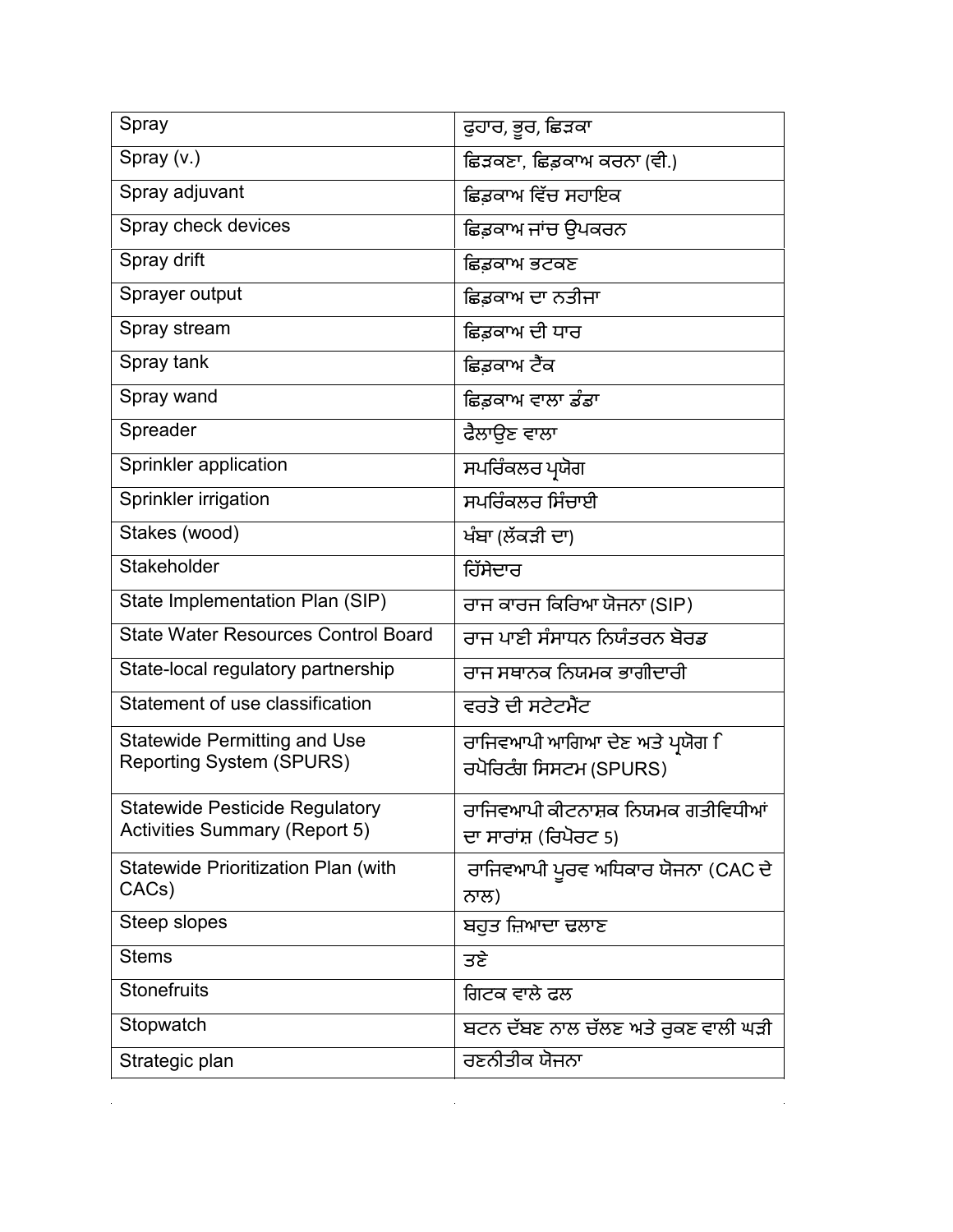| Spray                                                                         | ਫੁਹਾਰ, ਭੁਰ, ਛਿੜਕਾ                                               |
|-------------------------------------------------------------------------------|-----------------------------------------------------------------|
| Spray (v.)                                                                    | ਛਿੜਕਣਾ, ਛਿਡਕਾਅ ਕਰਨਾ (ਵੀ.)                                       |
| Spray adjuvant                                                                | ਛਿਡਕਾਅ ਵਿੱਚ ਸਹਾਇਕ                                               |
| Spray check devices                                                           | ਛਿਡ਼ਕਾਅ ਜਾਂਚ ਉਪਕਰਨ                                              |
| Spray drift                                                                   | ਛਿਡ਼ਕਾਅ ਭਟਕਣ                                                    |
| Sprayer output                                                                | ਛਿਡਕਾਅ ਦਾ ਨਤੀਜਾ                                                 |
| Spray stream                                                                  | ਛਿਡ਼ਕਾਅ ਦੀ ਧਾਰ                                                  |
| Spray tank                                                                    | ਛਿਡ਼ਕਾਅ ਟੈਂਕ                                                    |
| Spray wand                                                                    | ਛਿਡ਼ਕਾਅ ਵਾਲਾ ਡੰਡਾ                                               |
| Spreader                                                                      | ਫੈਲਾਉਣ ਵਾਲਾ                                                     |
| Sprinkler application                                                         | ਸਪਰਿੰਕਲਰ ਪ੍ਰਯੋਗ                                                 |
| Sprinkler irrigation                                                          | ਸਪਰਿੰਕਲਰ ਸਿੰਚਾਈ                                                 |
| Stakes (wood)                                                                 | ਖੰਬਾ (ਲੱਕੜੀ ਦਾ)                                                 |
| Stakeholder                                                                   | ਹਿੱਸੇਦਾਰ                                                        |
| State Implementation Plan (SIP)                                               | ਰਾਜ ਕਾਰਜ ਕਿਰਿਆ ਯੋਜਨਾ (SIP)                                      |
| <b>State Water Resources Control Board</b>                                    | ਰਾਜ ਪਾਣੀ ਸੰਸਾਧਨ ਨਿਯੰਤਰਨ ਬੋਰਡ                                    |
| State-local regulatory partnership                                            | ਰਾਜ ਸਥਾਨਕ ਨਿਯਮਕ ਭਾਗੀਦਾਰੀ                                        |
| Statement of use classification                                               | ਵਰਤੋ ਦੀ ਸਟੇਟਮੈਂਟ                                                |
| <b>Statewide Permitting and Use</b><br><b>Reporting System (SPURS)</b>        | ਰਾਜਿਵਆਪੀ ਆਗਿਆ ਦੇਣ ਅਤੇ ਪ੍ਰਯੋਗ <u>ਿ</u><br>ਰਪੋਰਿਟੰਗ ਸਿਸਟਮ (SPURS) |
| <b>Statewide Pesticide Regulatory</b><br><b>Activities Summary (Report 5)</b> | ਰਾਜਿਵਆਪੀ ਕੀਟਨਾਸ਼ਕ ਨਿਯਮਕ ਗਤੀਵਿਧੀਆਂ<br>ਦਾ ਸਾਰਾਂਸ਼ (ਰਿਪੋਰਟ 5)      |
| <b>Statewide Prioritization Plan (with</b><br>CACs)                           | ਰਾਜਿਵਆਪੀ ਪੁਰਵ ਅਧਿਕਾਰ ਯੋਜਨਾ (CAC ਦੇ<br>ਨਾਲ)                      |
| Steep slopes                                                                  | ਬਹਤ ਜ਼ਿਆਦਾ ਢਲਾਣ                                                 |
| <b>Stems</b>                                                                  | ਤਣੇ                                                             |
| <b>Stonefruits</b>                                                            | ਗਿਟਕ ਵਾਲੇ ਫਲ                                                    |
| Stopwatch                                                                     | ਬਟਨ ਦੱਬਣ ਨਾਲ ਚੱਲਣ ਅਤੇ ਰੁਕਣ ਵਾਲੀ ਘੜੀ                             |
| Strategic plan                                                                | ਰਣਨੀਤੀਕ ਯੋਜਨਾ                                                   |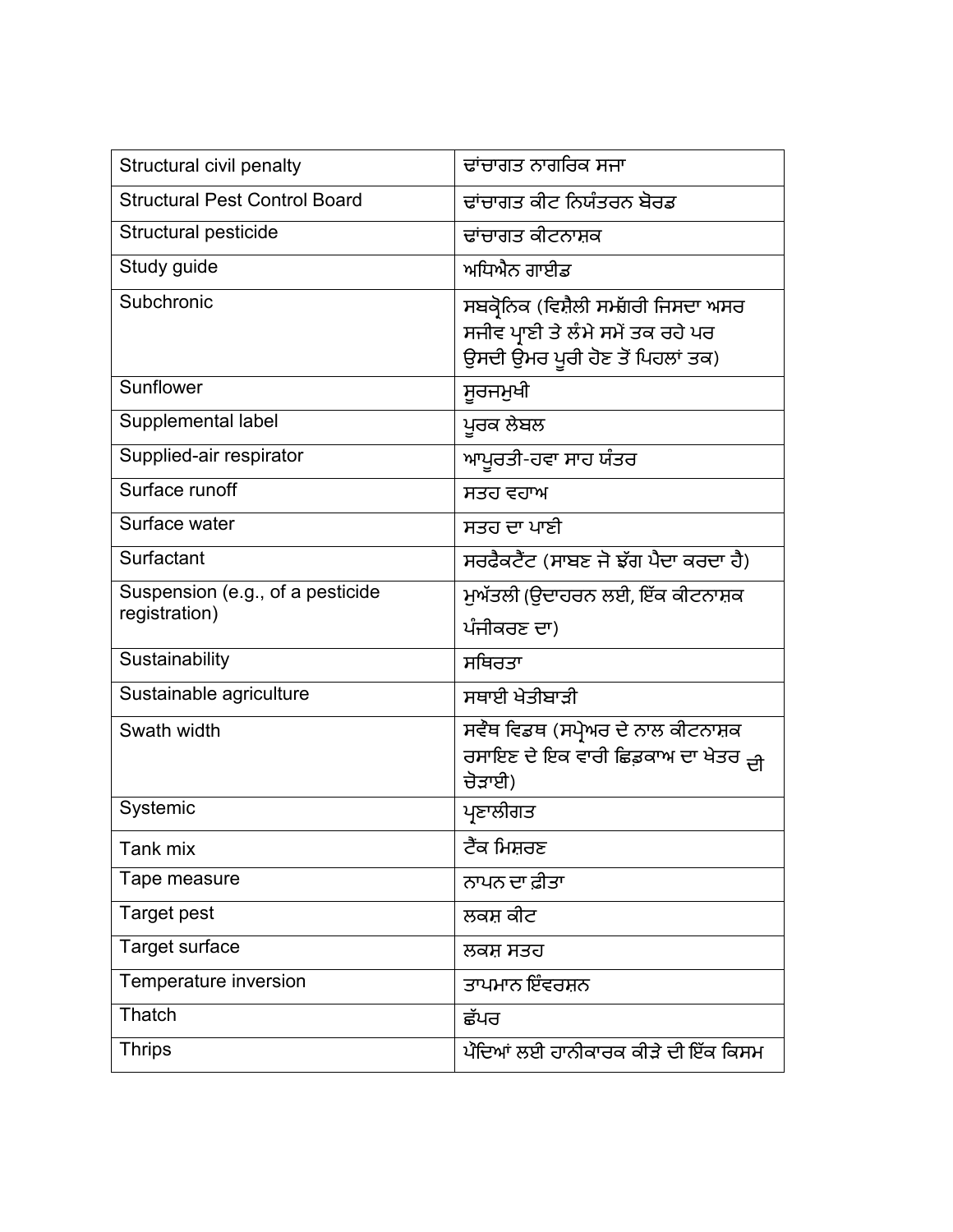| Structural civil penalty                          | ਢਾਂਚਾਗਤ ਨਾਗਰਿਕ ਸਜਾ                                                                                            |
|---------------------------------------------------|---------------------------------------------------------------------------------------------------------------|
| <b>Structural Pest Control Board</b>              | ਢਾਂਚਾਗਤ ਕੀਟ ਨਿਯੰਤਰਨ ਬੋਰਡ                                                                                      |
| <b>Structural pesticide</b>                       | ਢਾਂਚਾਗਤ ਕੀਟਨਾਸ਼ਕ                                                                                              |
| Study guide                                       | ਅਧਿਐਨ ਗਾਈਡ                                                                                                    |
| Subchronic                                        | ਸਬਕ੍ਰੋਨਿਕ (ਵਿਸ਼ੈਲੀ ਸਮੱਗਰੀ ਜਿਸਦਾ ਅਸਰ<br>ਸਜੀਵ ਪ੍ਰਾਣੀ ਤੇ ਲੰਮੇ ਸਮੇਂ ਤਕ ਰਹੇ ਪਰ<br>ਉਸਦੀ ਉਮਰ ਪੁਰੀ ਹੋਣ ਤੋਂ ਪਿਹਲਾਂ ਤਕ) |
| Sunflower                                         | ਸੁਰਜਮੁਖੀ                                                                                                      |
| Supplemental label                                | ਪੁਰਕ ਲੇਬਲ                                                                                                     |
| Supplied-air respirator                           | ਆਪੁਰਤੀ-ਹਵਾ ਸਾਹ ਯੰਤਰ                                                                                           |
| Surface runoff                                    | ਸਤਹ ਵਹਾਅ                                                                                                      |
| Surface water                                     | ਸਤਰ ਦਾ ਪਾਣੀ                                                                                                   |
| Surfactant                                        | ਸਰਫੈਕਟੈਂਟ (ਸਾਬਣ ਜੋ ਝੱਗ ਪੈਦਾ ਕਰਦਾ ਹੈ)                                                                          |
| Suspension (e.g., of a pesticide<br>registration) | ਮੁਅੱਤਲੀ (ਉਦਾਹਰਨ ਲਈ, ਇੱਕ ਕੀਟਨਾਸ਼ਕ<br>ਪੰਜੀਕਰਣ ਦਾ)                                                               |
| Sustainability                                    | ਸਥਿਰਤਾ                                                                                                        |
| Sustainable agriculture                           | ਸਥਾਈ ਖੇਤੀਬਾੜੀ                                                                                                 |
| Swath width                                       | ਸਵੰਥ ਵਿਡਥ (ਸਪ੍ਰੇਅਰ ਦੇ ਨਾਲ ਕੀਟਨਾਸ਼ਕ<br>ਰਸਾਇਣ ਦੇ ਇਕ ਵਾਰੀ ਛਿਡਕਾਅ ਦਾ ਖੇਤਰ <sub>ਦੀ</sub><br>ਚੋੜਾਈ)                 |
| Systemic                                          | ਪ੍ਰਣਾਲੀਗਤ                                                                                                     |
| Tank mix                                          | ਟੈਂਕ ਮਿਸ਼ਰਣ                                                                                                   |
| Tape measure                                      | ਨਾਪਨ ਦਾ ਫ਼ੀਤਾ                                                                                                 |
| Target pest                                       | ਲਕਸ਼ ਕੀਟ                                                                                                      |
| Target surface                                    | ਲਕਸ਼ ਸਤਹ                                                                                                      |
| Temperature inversion                             | ਤਾਪਮਾਨ ਇੰਵਰਸ਼ਨ                                                                                                |
| Thatch                                            | ਛੱਪਰ                                                                                                          |
| <b>Thrips</b>                                     | ਪੌਦਿਆਂ ਲਈ ਹਾਨੀਕਾਰਕ ਕੀੜੇ ਦੀ ਇੱਕ ਕਿਸਮ                                                                           |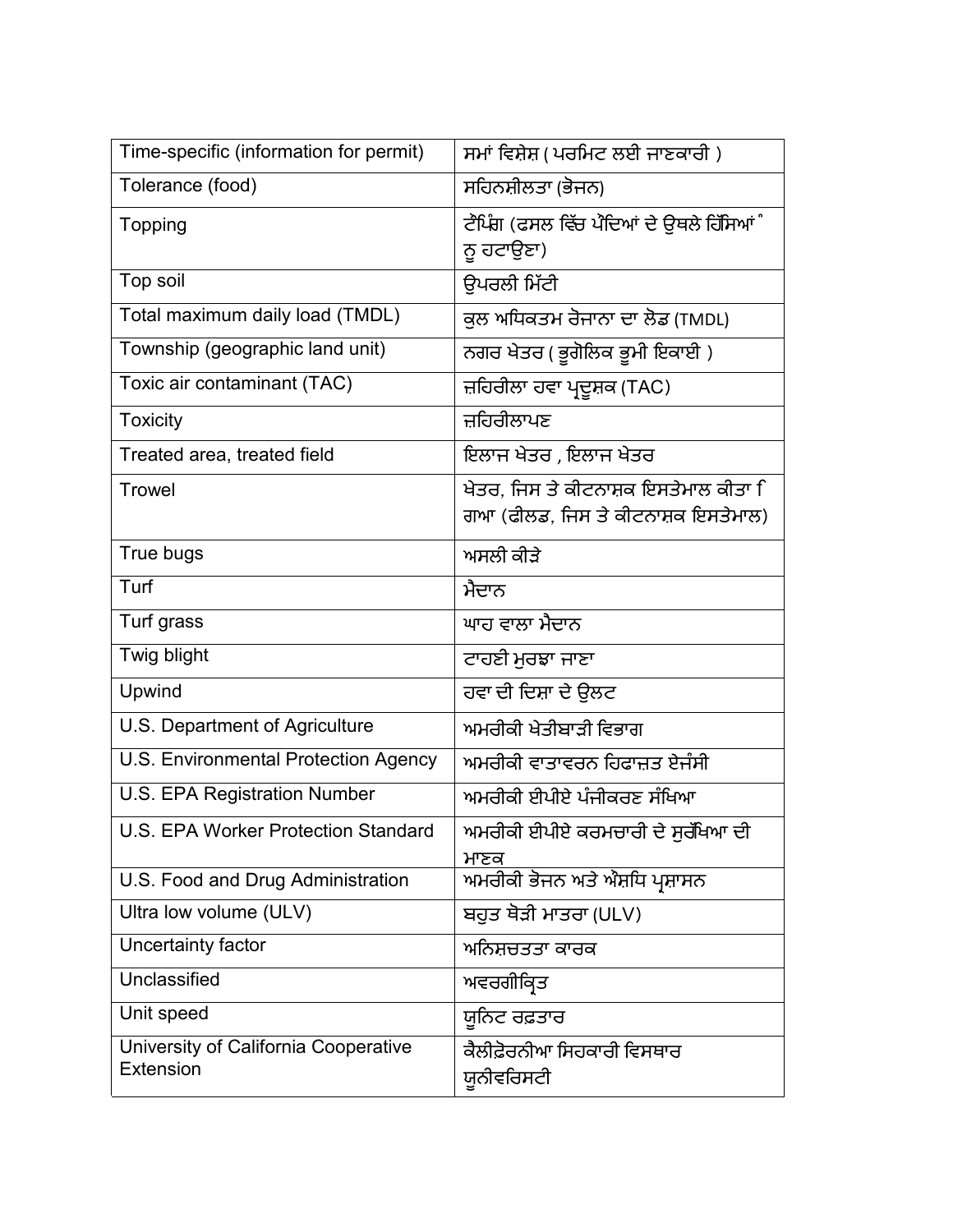| Time-specific (information for permit)                   | ਸਮਾਂ ਵਿਸ਼ੇਸ਼ (ਪਰਮਿਟ ਲਈ ਜਾਣਕਾਰੀ )                                           |
|----------------------------------------------------------|----------------------------------------------------------------------------|
| Tolerance (food)                                         | ਸਹਿਨਸ਼ੀਲਤਾ (ਭੋਜਨ)                                                          |
| <b>Topping</b>                                           | ਟੈਂਪਿੰਗ (ਫਸਲ ਵਿੱਚ ਪੰਦਿਆਂ ਦੇ ਉਥਲੇ ਹਿੱਸਿਆਂ ੰ<br>ਨੁ ਹਟਾਉਣਾ)                   |
| Top soil                                                 | ਉਪਰਲੀ ਮਿੱਟੀ                                                                |
| Total maximum daily load (TMDL)                          | ਕੁਲ ਅਧਿਕਤਮ ਰੋਜਾਨਾ ਦਾ ਲੋਡ (TMDL)                                            |
| Township (geographic land unit)                          | ਨਗਰ ਖੇਤਰ (ਭੂਗੋਲਿਕ ਭੂਮੀ ਇਕਾਈ)                                               |
| Toxic air contaminant (TAC)                              | ਜ਼ਹਿਰੀਲਾ ਹਵਾ ਪ੍ਰਦੂਸ਼ਕ (TAC)                                                |
| <b>Toxicity</b>                                          | ਜ਼ਹਿਰੀਲਾਪਣ                                                                 |
| Treated area, treated field                              | ਇਲਾਜ ਖੇਤਰ , ਇਲਾਜ ਖੇਤਰ                                                      |
| <b>Trowel</b>                                            | ਖੇਤਰ, ਜਿਸ ਤੇ ਕੀਟਨਾਸ਼ਕ ਇਸਤੇਮਾਲ ਕੀਤਾ ਿ<br>ਗਆ (ਫੀਲਡ, ਜਿਸ ਤੇ ਕੀਟਨਾਸ਼ਕ ਇਸਤੇਮਾਲ) |
| True bugs                                                | ਅਸਲੀ ਕੀੜੇ                                                                  |
| Turf                                                     | ਮੈਦਾਨ                                                                      |
| Turf grass                                               | ਘਾਹ ਵਾਲਾ ਮੈਦਾਨ                                                             |
| Twig blight                                              | ਟਾਹਣੀ ਮੁਰਝਾ ਜਾਣਾ                                                           |
| Upwind                                                   | ਹਵਾ ਦੀ ਦਿਸ਼ਾ ਦੇ ਉਲਟ                                                        |
| U.S. Department of Agriculture                           | ਅਮਰੀਕੀ ਖੇਤੀਬਾੜੀ ਵਿਭਾਗ                                                      |
| U.S. Environmental Protection Agency                     | ਅਮਰੀਕੀ ਵਾਤਾਵਰਨ ਹਿਫਾਜ਼ਤ ਏਜੰਸੀ                                               |
| U.S. EPA Registration Number                             | ਅਮਰੀਕੀ ਈਪੀਏ ਪੰਜੀਕਰਣ ਸੰਖਿਆ                                                  |
| <b>U.S. EPA Worker Protection Standard</b>               | ਅਮਰੀਕੀ ਈਪੀਏ ਕਰਮਚਾਰੀ ਦੇ ਸੁਰੱਖਿਆ ਦੀ<br>ਮਾਣਕ                                  |
| U.S. Food and Drug Administration                        | ਅਮਰੀਕੀ ਭੋਜਨ ਅਤੇ ਐਸ਼ਧਿ ਪ੍ਰਸ਼ਾਸਨ                                             |
| Ultra low volume (ULV)                                   | ਬਹੁਤ ਥੋੜੀ ਮਾਤਰਾ (ULV)                                                      |
| Uncertainty factor                                       | ਅਨਿਸ਼ਚਤਤਾ ਕਾਰਕ                                                             |
| Unclassified                                             | ਅਵਰਗੀਕ੍ਰਿਤ                                                                 |
| Unit speed                                               | ਯੂਨਿਟ ਰਫ਼ਤਾਰ                                                               |
| University of California Cooperative<br><b>Extension</b> | ਕੈਲੀਫ਼ੋਰਨੀਆ ਸਿਹਕਾਰੀ ਵਿਸਥਾਰ<br>ਯੁਨੀਵਰਿਸਟੀ                                   |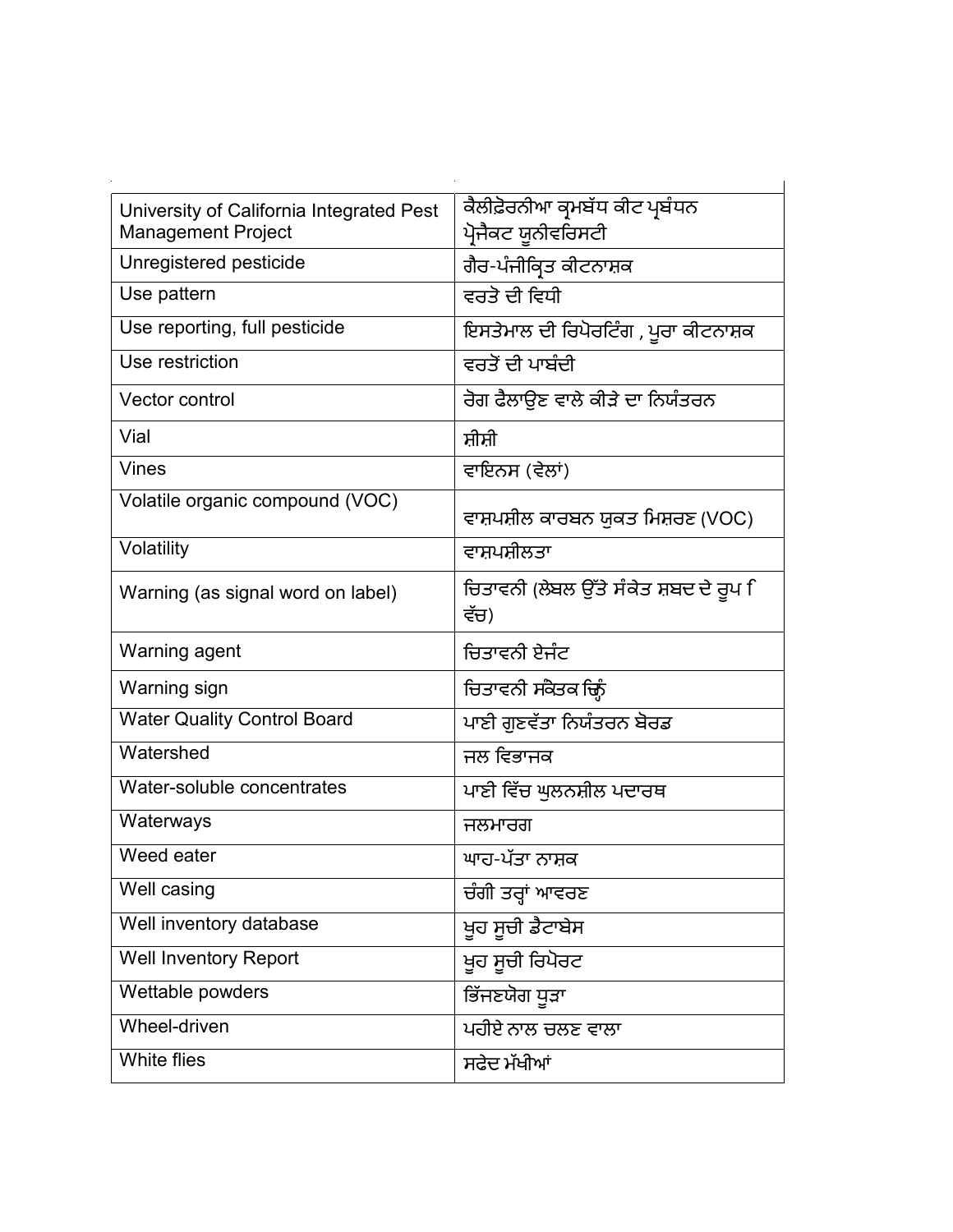| University of California Integrated Pest | ਕੈਲੀਫ਼ੋਰਨੀਆ ਕ੍ਰਮਬੱਧ ਕੀਟ ਪ੍ਰਬੰਧਨ                |
|------------------------------------------|------------------------------------------------|
| Management Project                       | ਪ੍ਰੋਜੈਕਟ ਯੂਨੀਵਰਿਸਟੀ                            |
| Unregistered pesticide                   | ਗੈਰ-ਪੰਜੀਕ੍ਰਿਤ ਕੀਟਨਾਸ਼ਕ                         |
| Use pattern                              | ਵਰਤੋ ਦੀ ਵਿਧੀ                                   |
| Use reporting, full pesticide            | ਇਸਤੇਮਾਲ ਦੀ ਰਿਪੋਰਟਿੰਗ , ਪੂਰਾ ਕੀਟਨਾਸ਼ਕ           |
| Use restriction                          | ਵਰਤੋਂ ਦੀ ਪਾਬੰਦੀ                                |
| <b>Vector control</b>                    | ਰੋਗ ਫੈਲਾਉਣ ਵਾਲੇ ਕੀੜੇ ਦਾ ਨਿਯੰਤਰਨ                |
| Vial                                     | ਸ਼ੀਸ਼ੀ                                         |
| Vines                                    | ਵਾਇਨਸ (ਵੇਲਾਂ)                                  |
| Volatile organic compound (VOC)          | ਵਾਸ਼ਪਸ਼ੀਲ ਕਾਰਬਨ ਯੁਕਤ ਮਿਸ਼ਰਣ (VOC)              |
| Volatility                               | ਵਾਸ਼ਪਸ਼ੀਲਤਾ                                    |
| Warning (as signal word on label)        | ਚਿਤਾਵਨੀ (ਲੇਬਲ ਉੱਤੇ ਸੰਕੇਤ ਸ਼ਬਦ ਦੇ ਰੁਪ ਿ<br>ਵੱਚ) |
| Warning agent                            | ਚਿਤਾਵਨੀ ਏਜੰਟ                                   |
| Warning sign                             | ਚਿਤਾਵਨੀ ਸੰਕੇਤਕ ਚਿੰਨ੍ਹ                          |
| <b>Water Quality Control Board</b>       | ਪਾਣੀ ਗੁਣਵੱਤਾ ਨਿਯੰਤਰਨ ਬੋਰਡ                      |
| Watershed                                | ਜਲ ਵਿਭਾਜਕ                                      |
| Water-soluble concentrates               | ਪਾਣੀ ਵਿੱਚ ਘੁਲਨਸ਼ੀਲ ਪਦਾਰਥ                       |
| Waterways                                | ਜਲਮਾਰਗ                                         |
| Weed eater                               | ਘਾਹ-ਪੱਤਾ ਨਾਸ਼ਕ                                 |
| Well casing                              | ਚੰਗੀ ਤਰ੍ਹਾਂ ਆਵਰਣ                               |
| Well inventory database                  | ਖੂਹ ਸੂਚੀ ਡੈਟਾਬੇਸ                               |
| <b>Well Inventory Report</b>             | ਖੁਹ ਸੂਚੀ ਰਿਪੋਰਟ                                |
| Wettable powders                         | ਭਿੱਜਣਯੋਗ ਧੁੜਾ                                  |
| Wheel-driven                             | ਪਹੀਏ ਨਾਲ ਚਲਣ ਵਾਲਾ                              |
| White flies                              | ਸਫੇਦ ਮੱਖੀਆਂ                                    |
|                                          |                                                |